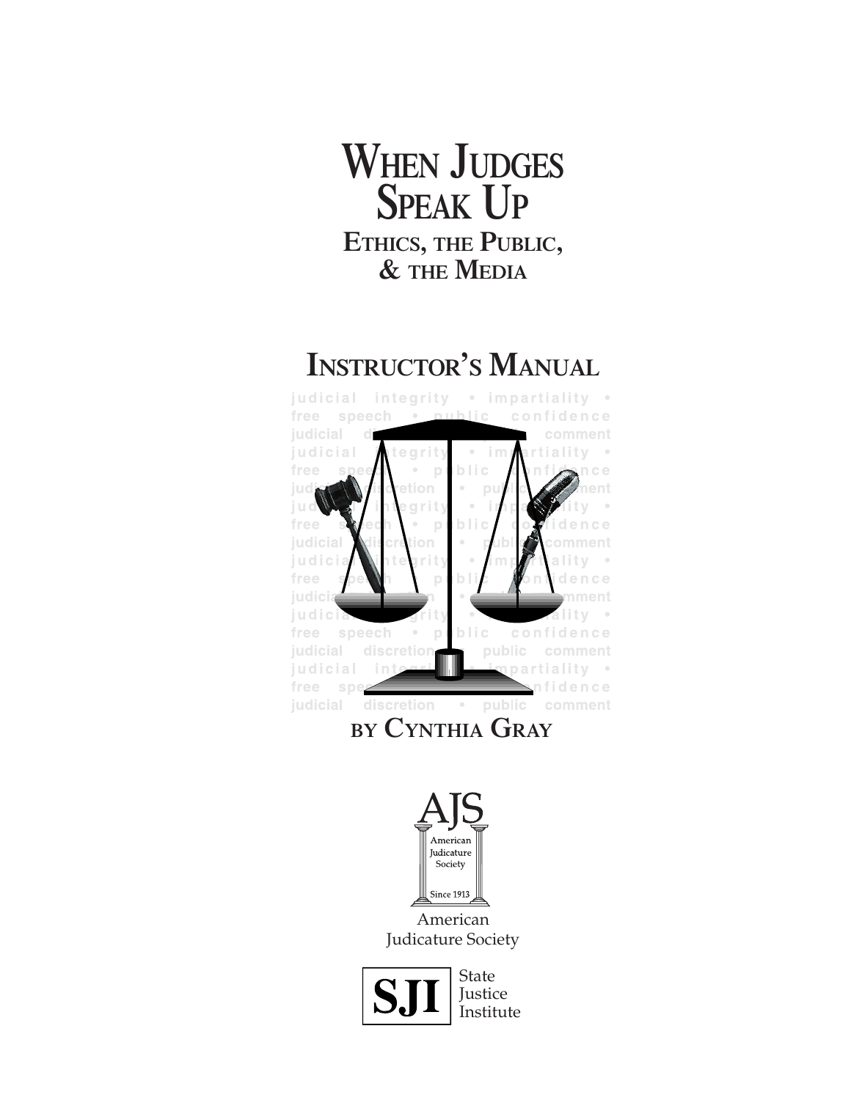# **WHEN JUDGES SPEAK UP ETHICS, THE PUBLIC, & THE MEDIA**

# **INSTRUCTOR'S MANUAL**



**BY CYNTHIA GRAY**





State **Justice** Institute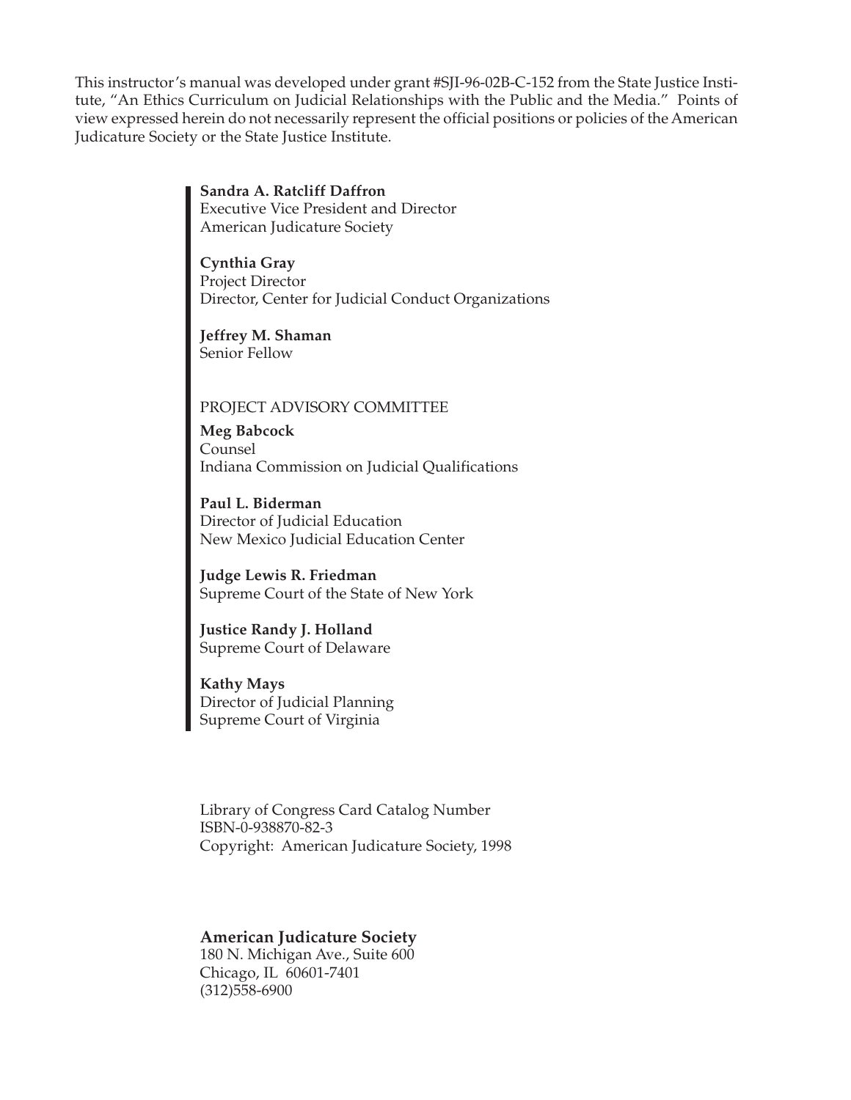This instructor's manual was developed under grant #SJI-96-02B-C-152 from the State Justice Institute, "An Ethics Curriculum on Judicial Relationships with the Public and the Media." Points of view expressed herein do not necessarily represent the official positions or policies of the American Judicature Society or the State Justice Institute.

> **Sandra A. Ratcliff Daffron** Executive Vice President and Director American Judicature Society

**Cynthia Gray** Project Director Director, Center for Judicial Conduct Organizations

**Jeffrey M. Shaman** Senior Fellow

# PROJECT ADVISORY COMMITTEE

**Meg Babcock** Counsel Indiana Commission on Judicial Qualifications

**Paul L. Biderman** Director of Judicial Education New Mexico Judicial Education Center

**Judge Lewis R. Friedman** Supreme Court of the State of New York

**Justice Randy J. Holland** Supreme Court of Delaware

**Kathy Mays** Director of Judicial Planning Supreme Court of Virginia

Library of Congress Card Catalog Number ISBN-0-938870-82-3 Copyright: American Judicature Society, 1998

#### **American Judicature Society**

180 N. Michigan Ave., Suite 600 Chicago, IL 60601-7401 (312)558-6900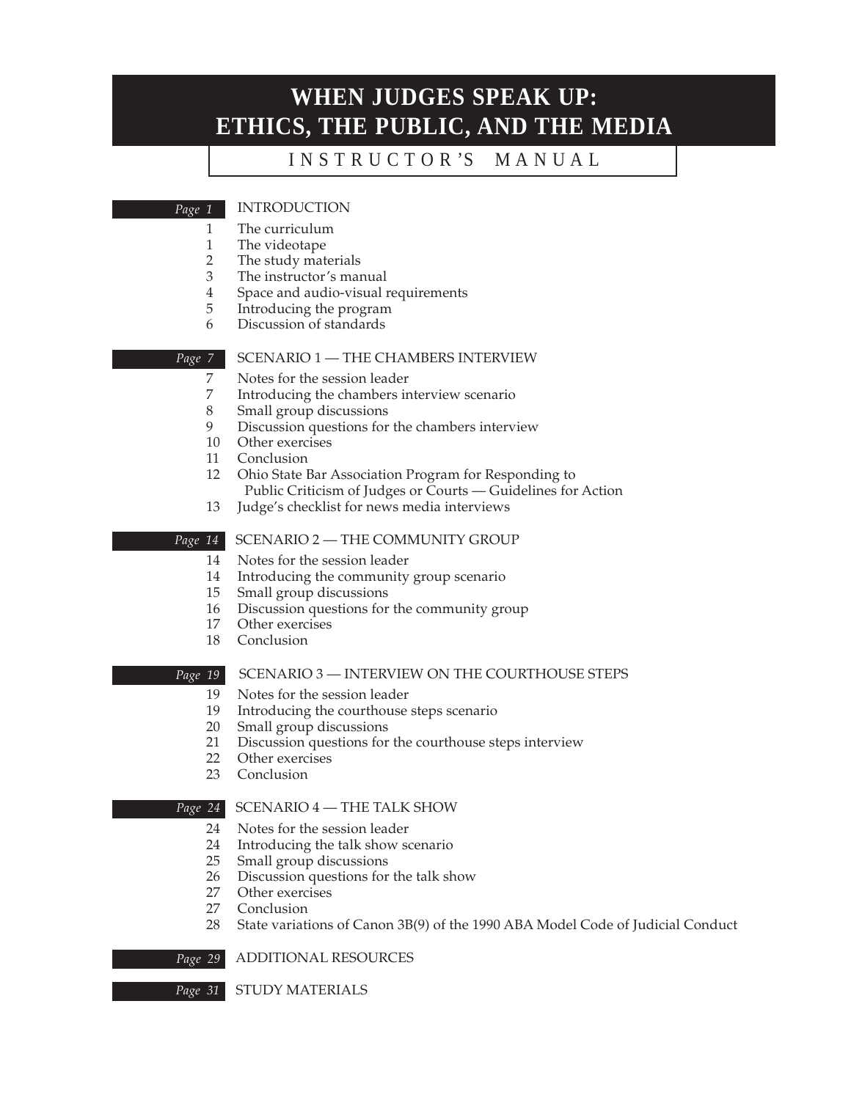# **WHEN JUDGES SPEAK UP: ETHICS, THE PUBLIC, AND THE MEDIA**

# I N S T R U C T O R 'S M A N U A L

#### INTRODUCTION

- 
- 1 The curriculum<br>1 The videotape
- 1 The videotape<br>2 The study mate The study materials
- 3 The instructor's manual
- 4 Space and audio-visual requirements
- 5 Introducing the program
- 6 Discussion of standards

#### *Page 7*

*Page 1*

#### SCENARIO 1 — THE CHAMBERS INTERVIEW

- 7 Notes for the session leader<br>7 Introducing the chambers in
- 7 Introducing the chambers interview scenario<br>8 Small group discussions
- 8 Small group discussions<br>9 Discussion questions for
- Discussion questions for the chambers interview
- 10 Other exercises
- 11 Conclusion
- 12 Ohio State Bar Association Program for Responding to Public Criticism of Judges or Courts — Guidelines for Action
- 13 Judge's checklist for news media interviews

#### SCENARIO 2 — THE COMMUNITY GROUP *Page 14*

- 14 Notes for the session leader
- 14 Introducing the community group scenario
- 15 Small group discussions
- 16 Discussion questions for the community group
- 17 Other exercises
- 18 Conclusion

#### *Page 19*

#### SCENARIO 3 — INTERVIEW ON THE COURTHOUSE STEPS

- 19 Notes for the session leader<br>19 Introducing the courthouse
- 19 Introducing the courthouse steps scenario<br>20 Small group discussions
- 20 Small group discussions<br>21 Discussion questions for
- Discussion questions for the courthouse steps interview
- 22 Other exercises
- 23 Conclusion

#### SCENARIO 4 — THE TALK SHOW *Page 24*

- 24 Notes for the session leader
- 24 Introducing the talk show scenario<br>25 Small group discussions
- Small group discussions
- 26 Discussion questions for the talk show<br>27 Other exercises
- Other exercises
- 27 Conclusion
- 28 State variations of Canon 3B(9) of the 1990 ABA Model Code of Judicial Conduct

ADDITIONAL RESOURCES *Page 29*

STUDY MATERIALS *Page 31*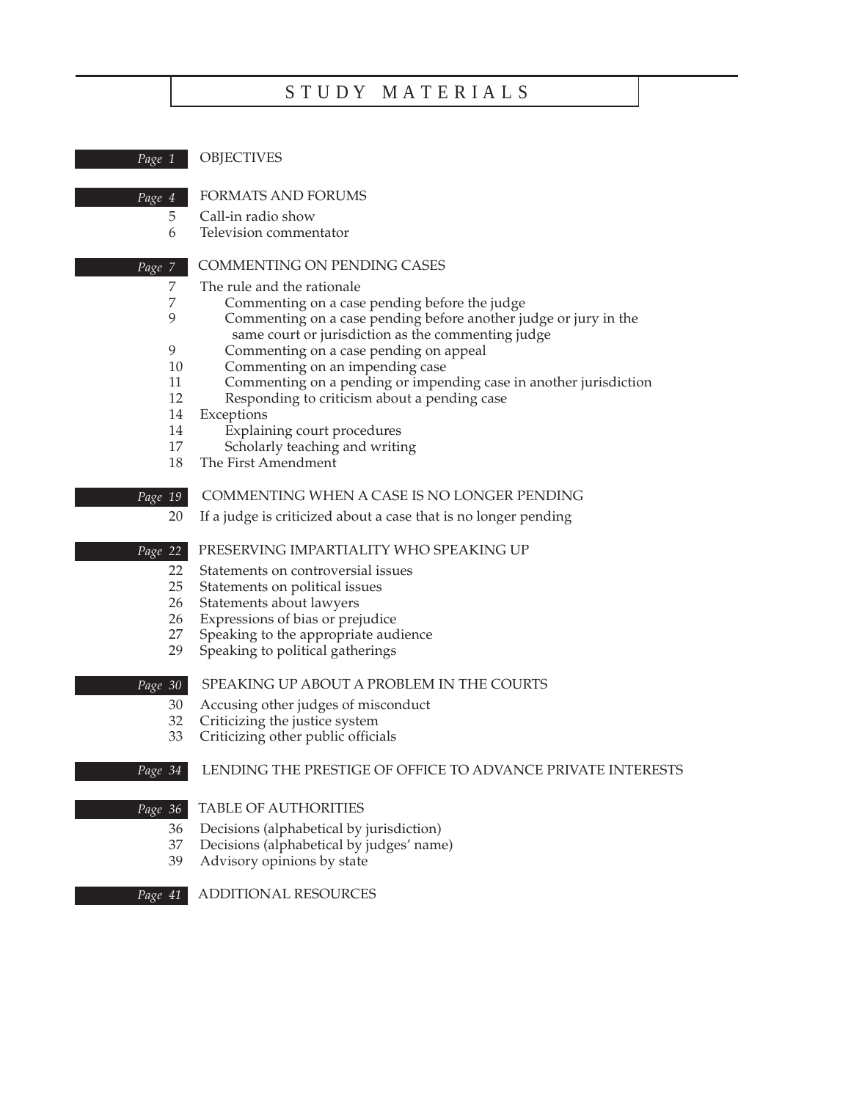# S T U D Y M A T E R I A L S

| Page 1   | <b>OBJECTIVES</b>                                                                                                      |
|----------|------------------------------------------------------------------------------------------------------------------------|
| Page 4   | <b>FORMATS AND FORUMS</b>                                                                                              |
| 5        | Call-in radio show                                                                                                     |
| 6        | Television commentator                                                                                                 |
| Page 7   | COMMENTING ON PENDING CASES                                                                                            |
| 7        | The rule and the rationale                                                                                             |
| 7        | Commenting on a case pending before the judge                                                                          |
| 9        | Commenting on a case pending before another judge or jury in the<br>same court or jurisdiction as the commenting judge |
| 9        | Commenting on a case pending on appeal                                                                                 |
| 10       | Commenting on an impending case                                                                                        |
| 11       | Commenting on a pending or impending case in another jurisdiction                                                      |
| 12       | Responding to criticism about a pending case                                                                           |
| 14       | Exceptions                                                                                                             |
| 14<br>17 | Explaining court procedures                                                                                            |
| 18       | Scholarly teaching and writing<br>The First Amendment                                                                  |
|          |                                                                                                                        |
| Page 19  | COMMENTING WHEN A CASE IS NO LONGER PENDING                                                                            |
| 20       | If a judge is criticized about a case that is no longer pending                                                        |
| Page 22  | PRESERVING IMPARTIALITY WHO SPEAKING UP                                                                                |
| 22       | Statements on controversial issues                                                                                     |
| 25       | Statements on political issues                                                                                         |
| 26       | Statements about lawyers                                                                                               |
| 26       | Expressions of bias or prejudice                                                                                       |
| 27       | Speaking to the appropriate audience                                                                                   |
| 29       | Speaking to political gatherings                                                                                       |
| Page 30  | SPEAKING UP ABOUT A PROBLEM IN THE COURTS                                                                              |
| 30       | Accusing other judges of misconduct                                                                                    |
| 32       | Criticizing the justice system                                                                                         |
| 33       | Criticizing other public officials                                                                                     |
| Page 34  | LENDING THE PRESTIGE OF OFFICE TO ADVANCE PRIVATE INTERESTS                                                            |
| Page 36  | <b>TABLE OF AUTHORITIES</b>                                                                                            |
| 36       | Decisions (alphabetical by jurisdiction)                                                                               |
| 37       | Decisions (alphabetical by judges' name)                                                                               |
| 39       | Advisory opinions by state                                                                                             |
|          |                                                                                                                        |

ADDITIONAL RESOURCES *Page 41*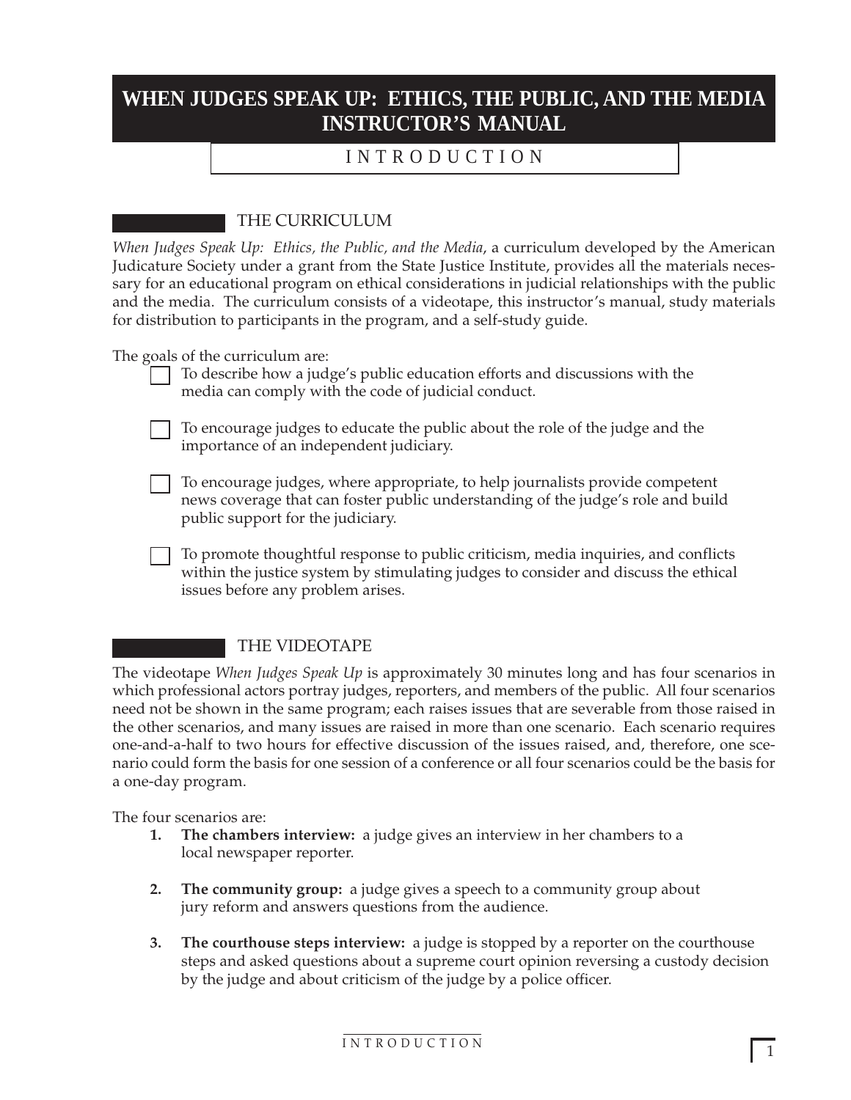# **WHEN JUDGES SPEAK UP: ETHICS, THE PUBLIC, AND THE MEDIA INSTRUCTOR'S MANUAL**

# I N T R O D U C T I O N

# THE CURRICULUM

*When Judges Speak Up: Ethics, the Public, and the Media*, a curriculum developed by the American Judicature Society under a grant from the State Justice Institute, provides all the materials necessary for an educational program on ethical considerations in judicial relationships with the public and the media. The curriculum consists of a videotape, this instructor's manual, study materials for distribution to participants in the program, and a self-study guide.

The goals of the curriculum are:

- To describe how a judge's public education efforts and discussions with the media can comply with the code of judicial conduct.
- To encourage judges to educate the public about the role of the judge and the importance of an independent judiciary.
- To encourage judges, where appropriate, to help journalists provide competent news coverage that can foster public understanding of the judge's role and build public support for the judiciary.
- To promote thoughtful response to public criticism, media inquiries, and conflicts within the justice system by stimulating judges to consider and discuss the ethical issues before any problem arises.

# THE VIDEOTAPE

The videotape *When Judges Speak Up* is approximately 30 minutes long and has four scenarios in which professional actors portray judges, reporters, and members of the public. All four scenarios need not be shown in the same program; each raises issues that are severable from those raised in the other scenarios, and many issues are raised in more than one scenario. Each scenario requires one-and-a-half to two hours for effective discussion of the issues raised, and, therefore, one scenario could form the basis for one session of a conference or all four scenarios could be the basis for a one-day program.

The four scenarios are:

- **1. The chambers interview:** a judge gives an interview in her chambers to a local newspaper reporter.
- **2. The community group:** a judge gives a speech to a community group about jury reform and answers questions from the audience.
- **3. The courthouse steps interview:** a judge is stopped by a reporter on the courthouse steps and asked questions about a supreme court opinion reversing a custody decision by the judge and about criticism of the judge by a police officer.

I N T R O D U C T I O N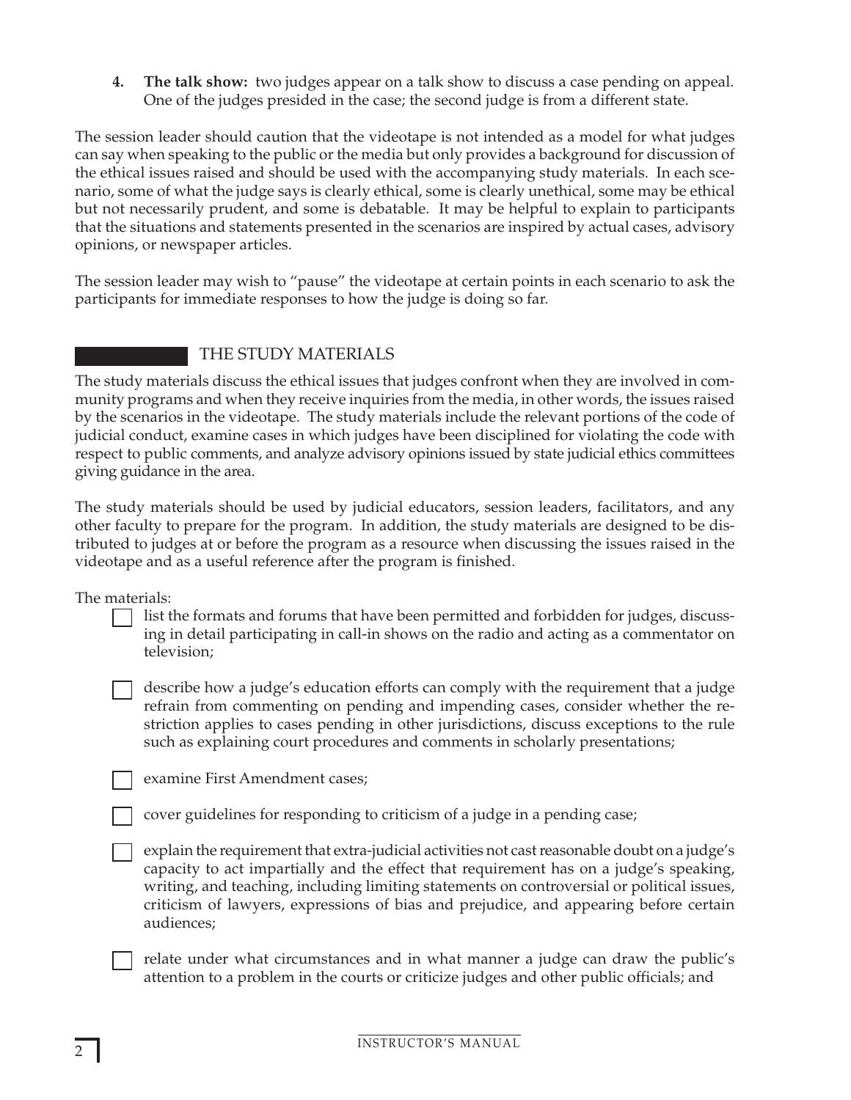**4. The talk show:** two judges appear on a talk show to discuss a case pending on appeal. One of the judges presided in the case; the second judge is from a different state.

The session leader should caution that the videotape is not intended as a model for what judges can say when speaking to the public or the media but only provides a background for discussion of the ethical issues raised and should be used with the accompanying study materials. In each scenario, some of what the judge says is clearly ethical, some is clearly unethical, some may be ethical but not necessarily prudent, and some is debatable. It may be helpful to explain to participants that the situations and statements presented in the scenarios are inspired by actual cases, advisory opinions, or newspaper articles.

The session leader may wish to "pause" the videotape at certain points in each scenario to ask the participants for immediate responses to how the judge is doing so far.

# THE STUDY MATERIALS

The study materials discuss the ethical issues that judges confront when they are involved in community programs and when they receive inquiries from the media, in other words, the issues raised by the scenarios in the videotape. The study materials include the relevant portions of the code of judicial conduct, examine cases in which judges have been disciplined for violating the code with respect to public comments, and analyze advisory opinions issued by state judicial ethics committees giving guidance in the area.

The study materials should be used by judicial educators, session leaders, facilitators, and any other faculty to prepare for the program. In addition, the study materials are designed to be distributed to judges at or before the program as a resource when discussing the issues raised in the videotape and as a useful reference after the program is finished.

The materials:

list the formats and forums that have been permitted and forbidden for judges, discussing in detail participating in call-in shows on the radio and acting as a commentator on television;

describe how a judge's education efforts can comply with the requirement that a judge refrain from commenting on pending and impending cases, consider whether the restriction applies to cases pending in other jurisdictions, discuss exceptions to the rule such as explaining court procedures and comments in scholarly presentations;

examine First Amendment cases;

cover guidelines for responding to criticism of a judge in a pending case;

explain the requirement that extra-judicial activities not cast reasonable doubt on a judge's capacity to act impartially and the effect that requirement has on a judge's speaking, writing, and teaching, including limiting statements on controversial or political issues, criticism of lawyers, expressions of bias and prejudice, and appearing before certain audiences;

relate under what circumstances and in what manner a judge can draw the public's attention to a problem in the courts or criticize judges and other public officials; and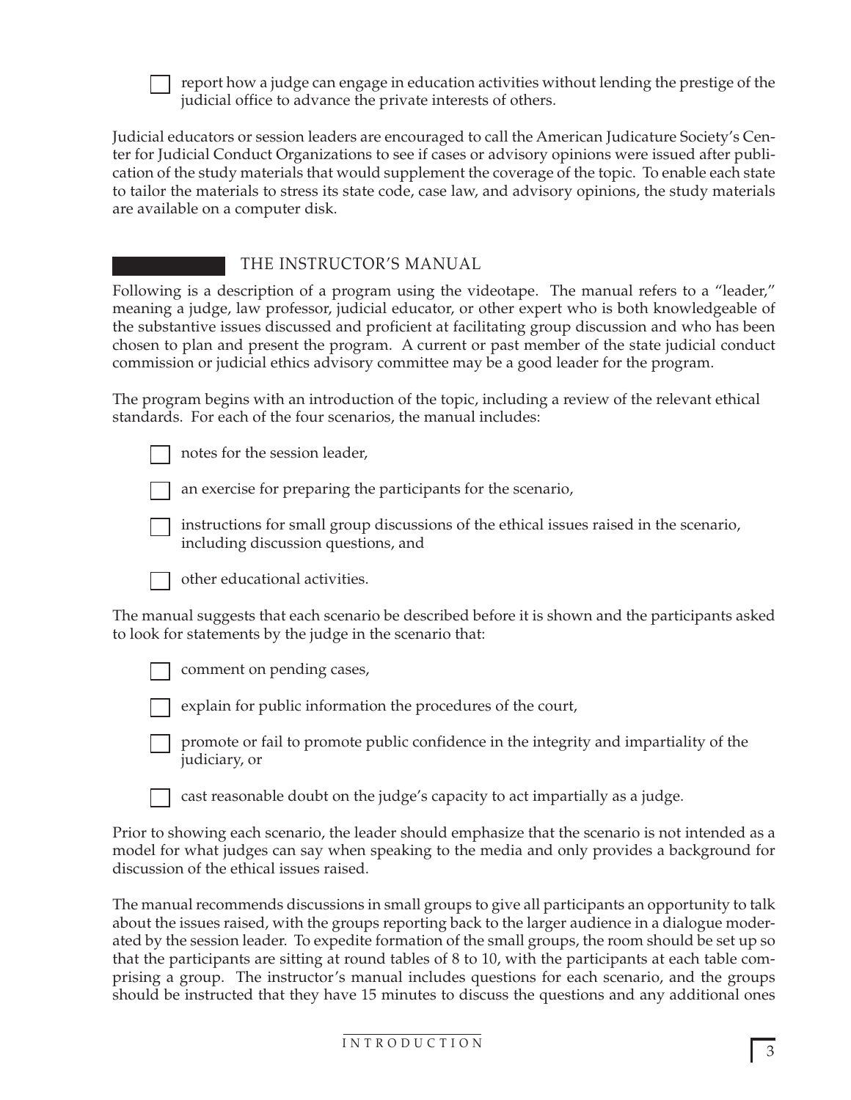

report how a judge can engage in education activities without lending the prestige of the judicial office to advance the private interests of others.

Judicial educators or session leaders are encouraged to call the American Judicature Society's Center for Judicial Conduct Organizations to see if cases or advisory opinions were issued after publication of the study materials that would supplement the coverage of the topic. To enable each state to tailor the materials to stress its state code, case law, and advisory opinions, the study materials are available on a computer disk.

# THE INSTRUCTOR'S MANUAL

Following is a description of a program using the videotape. The manual refers to a "leader," meaning a judge, law professor, judicial educator, or other expert who is both knowledgeable of the substantive issues discussed and proficient at facilitating group discussion and who has been chosen to plan and present the program. A current or past member of the state judicial conduct commission or judicial ethics advisory committee may be a good leader for the program.

The program begins with an introduction of the topic, including a review of the relevant ethical standards. For each of the four scenarios, the manual includes:

notes for the session leader,

an exercise for preparing the participants for the scenario,



instructions for small group discussions of the ethical issues raised in the scenario, including discussion questions, and



other educational activities.

The manual suggests that each scenario be described before it is shown and the participants asked to look for statements by the judge in the scenario that:

comment on pending cases,



explain for public information the procedures of the court,



cast reasonable doubt on the judge's capacity to act impartially as a judge.

Prior to showing each scenario, the leader should emphasize that the scenario is not intended as a model for what judges can say when speaking to the media and only provides a background for discussion of the ethical issues raised.

The manual recommends discussions in small groups to give all participants an opportunity to talk about the issues raised, with the groups reporting back to the larger audience in a dialogue moderated by the session leader. To expedite formation of the small groups, the room should be set up so that the participants are sitting at round tables of 8 to 10, with the participants at each table comprising a group. The instructor's manual includes questions for each scenario, and the groups should be instructed that they have 15 minutes to discuss the questions and any additional ones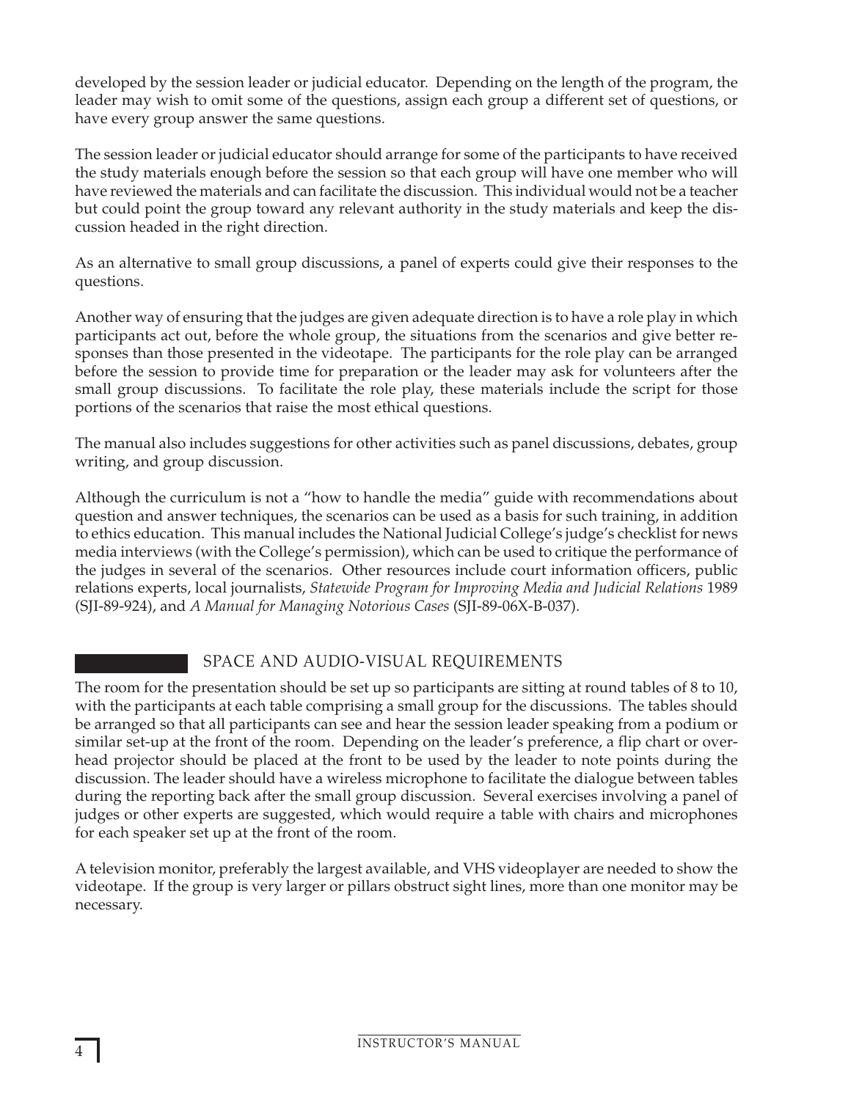developed by the session leader or judicial educator. Depending on the length of the program, the leader may wish to omit some of the questions, assign each group a different set of questions, or have every group answer the same questions.

The session leader or judicial educator should arrange for some of the participants to have received the study materials enough before the session so that each group will have one member who will have reviewed the materials and can facilitate the discussion. This individual would not be a teacher but could point the group toward any relevant authority in the study materials and keep the discussion headed in the right direction.

As an alternative to small group discussions, a panel of experts could give their responses to the questions.

Another way of ensuring that the judges are given adequate direction is to have a role play in which participants act out, before the whole group, the situations from the scenarios and give better responses than those presented in the videotape. The participants for the role play can be arranged before the session to provide time for preparation or the leader may ask for volunteers after the small group discussions. To facilitate the role play, these materials include the script for those portions of the scenarios that raise the most ethical questions.

The manual also includes suggestions for other activities such as panel discussions, debates, group writing, and group discussion.

Although the curriculum is not a "how to handle the media" guide with recommendations about question and answer techniques, the scenarios can be used as a basis for such training, in addition to ethics education. This manual includes the National Judicial College's judge's checklist for news media interviews (with the College's permission), which can be used to critique the performance of the judges in several of the scenarios. Other resources include court information officers, public relations experts, local journalists, *Statewide Program for Improving Media and Judicial Relations* 1989 (SJI-89-924), and *A Manual for Managing Notorious Cases* (SJI-89-06X-B-037).

# SPACE AND AUDIO-VISUAL REQUIREMENTS

The room for the presentation should be set up so participants are sitting at round tables of 8 to 10, with the participants at each table comprising a small group for the discussions. The tables should be arranged so that all participants can see and hear the session leader speaking from a podium or similar set-up at the front of the room. Depending on the leader's preference, a flip chart or overhead projector should be placed at the front to be used by the leader to note points during the discussion. The leader should have a wireless microphone to facilitate the dialogue between tables during the reporting back after the small group discussion. Several exercises involving a panel of judges or other experts are suggested, which would require a table with chairs and microphones for each speaker set up at the front of the room.

A television monitor, preferably the largest available, and VHS videoplayer are needed to show the videotape. If the group is very larger or pillars obstruct sight lines, more than one monitor may be necessary.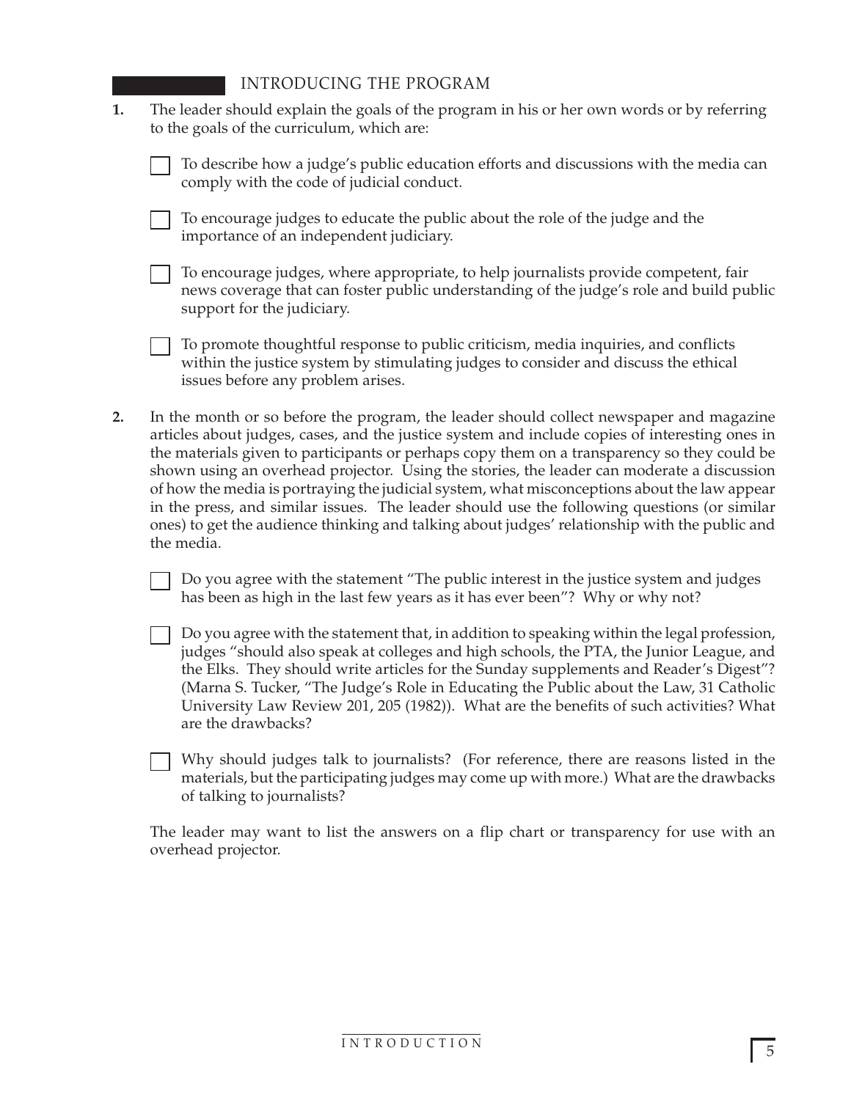- **1.** The leader should explain the goals of the program in his or her own words or by referring to the goals of the curriculum, which are:
	- To describe how a judge's public education efforts and discussions with the media can comply with the code of judicial conduct.

To encourage judges to educate the public about the role of the judge and the importance of an independent judiciary.

To encourage judges, where appropriate, to help journalists provide competent, fair news coverage that can foster public understanding of the judge's role and build public support for the judiciary.

To promote thoughtful response to public criticism, media inquiries, and conflicts within the justice system by stimulating judges to consider and discuss the ethical issues before any problem arises.

**2.** In the month or so before the program, the leader should collect newspaper and magazine articles about judges, cases, and the justice system and include copies of interesting ones in the materials given to participants or perhaps copy them on a transparency so they could be shown using an overhead projector. Using the stories, the leader can moderate a discussion of how the media is portraying the judicial system, what misconceptions about the law appear in the press, and similar issues. The leader should use the following questions (or similar ones) to get the audience thinking and talking about judges' relationship with the public and the media.

Do you agree with the statement "The public interest in the justice system and judges has been as high in the last few years as it has ever been"? Why or why not?

Do you agree with the statement that, in addition to speaking within the legal profession, judges "should also speak at colleges and high schools, the PTA, the Junior League, and the Elks. They should write articles for the Sunday supplements and Reader's Digest"? (Marna S. Tucker, "The Judge's Role in Educating the Public about the Law, 31 Catholic University Law Review 201, 205 (1982)). What are the benefits of such activities? What are the drawbacks?

Why should judges talk to journalists? (For reference, there are reasons listed in the materials, but the participating judges may come up with more.) What are the drawbacks of talking to journalists?

The leader may want to list the answers on a flip chart or transparency for use with an overhead projector.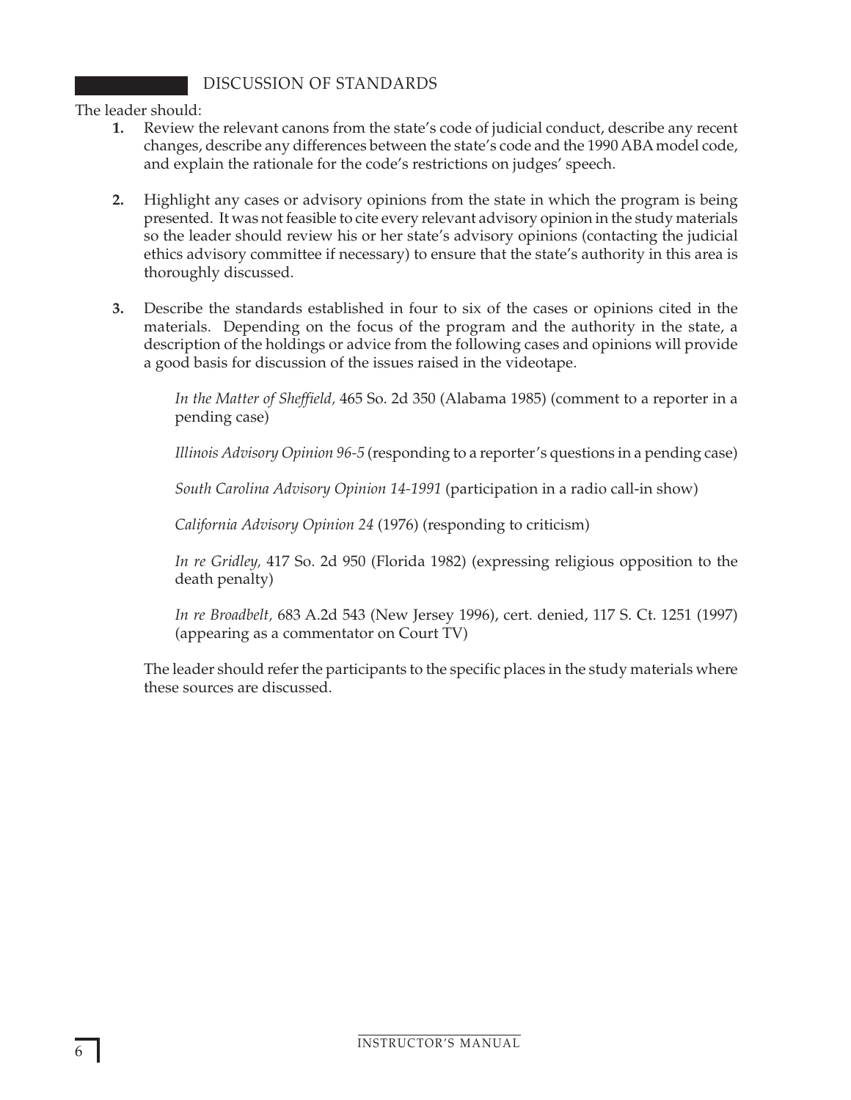# DISCUSSION OF STANDARDS

The leader should:

- **1.** Review the relevant canons from the state's code of judicial conduct, describe any recent changes, describe any differences between the state's code and the 1990 ABA model code, and explain the rationale for the code's restrictions on judges' speech.
- **2.** Highlight any cases or advisory opinions from the state in which the program is being presented. It was not feasible to cite every relevant advisory opinion in the study materials so the leader should review his or her state's advisory opinions (contacting the judicial ethics advisory committee if necessary) to ensure that the state's authority in this area is thoroughly discussed.
- **3.** Describe the standards established in four to six of the cases or opinions cited in the materials. Depending on the focus of the program and the authority in the state, a description of the holdings or advice from the following cases and opinions will provide a good basis for discussion of the issues raised in the videotape.

*In the Matter of Sheffield,* 465 So. 2d 350 (Alabama 1985) (comment to a reporter in a pending case)

*Illinois Advisory Opinion 96-5* (responding to a reporter's questions in a pending case)

*South Carolina Advisory Opinion 14-1991* (participation in a radio call-in show)

*California Advisory Opinion 24* (1976) (responding to criticism)

*In re Gridley,* 417 So. 2d 950 (Florida 1982) (expressing religious opposition to the death penalty)

*In re Broadbelt,* 683 A.2d 543 (New Jersey 1996), cert. denied, 117 S. Ct. 1251 (1997) (appearing as a commentator on Court TV)

The leader should refer the participants to the specific places in the study materials where these sources are discussed.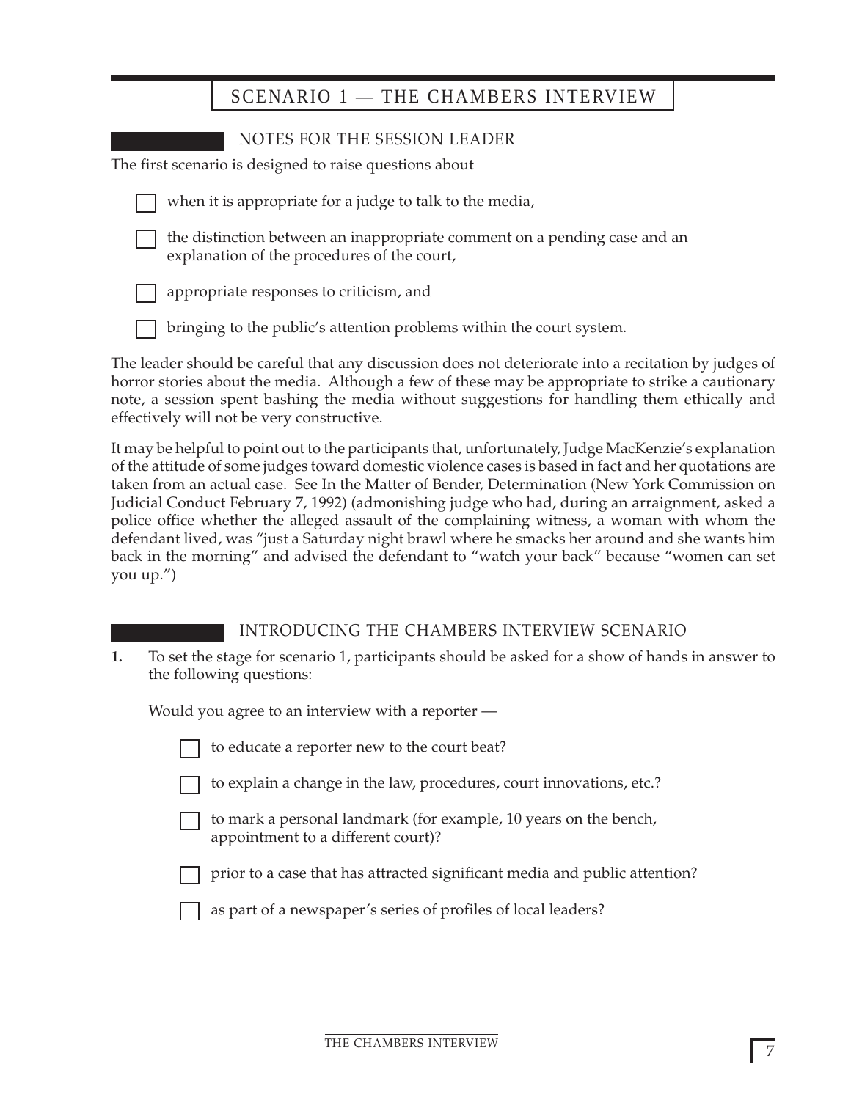# SCENARIO 1 — THE CHAMBERS INTERVIEW

| NOTES FOR THE SESSION LEADER                                                                                             |
|--------------------------------------------------------------------------------------------------------------------------|
| The first scenario is designed to raise questions about                                                                  |
| when it is appropriate for a judge to talk to the media,                                                                 |
| the distinction between an inappropriate comment on a pending case and an<br>explanation of the procedures of the court, |
| appropriate responses to criticism, and                                                                                  |
| bringing to the public's attention problems within the court system.                                                     |

The leader should be careful that any discussion does not deteriorate into a recitation by judges of horror stories about the media. Although a few of these may be appropriate to strike a cautionary note, a session spent bashing the media without suggestions for handling them ethically and effectively will not be very constructive.

It may be helpful to point out to the participants that, unfortunately, Judge MacKenzie's explanation of the attitude of some judges toward domestic violence cases is based in fact and her quotations are taken from an actual case. See In the Matter of Bender, Determination (New York Commission on Judicial Conduct February 7, 1992) (admonishing judge who had, during an arraignment, asked a police office whether the alleged assault of the complaining witness, a woman with whom the defendant lived, was "just a Saturday night brawl where he smacks her around and she wants him back in the morning" and advised the defendant to "watch your back" because "women can set you up.")

# INTRODUCING THE CHAMBERS INTERVIEW SCENARIO

**1.** To set the stage for scenario 1, participants should be asked for a show of hands in answer to the following questions:

Would you agree to an interview with a reporter —

|  | to educate a reporter new to the court beat? |  |  |  |  |
|--|----------------------------------------------|--|--|--|--|
|--|----------------------------------------------|--|--|--|--|

- to explain a change in the law, procedures, court innovations, etc.?
- to mark a personal landmark (for example, 10 years on the bench, appointment to a different court)?
- prior to a case that has attracted significant media and public attention?
- as part of a newspaper's series of profiles of local leaders?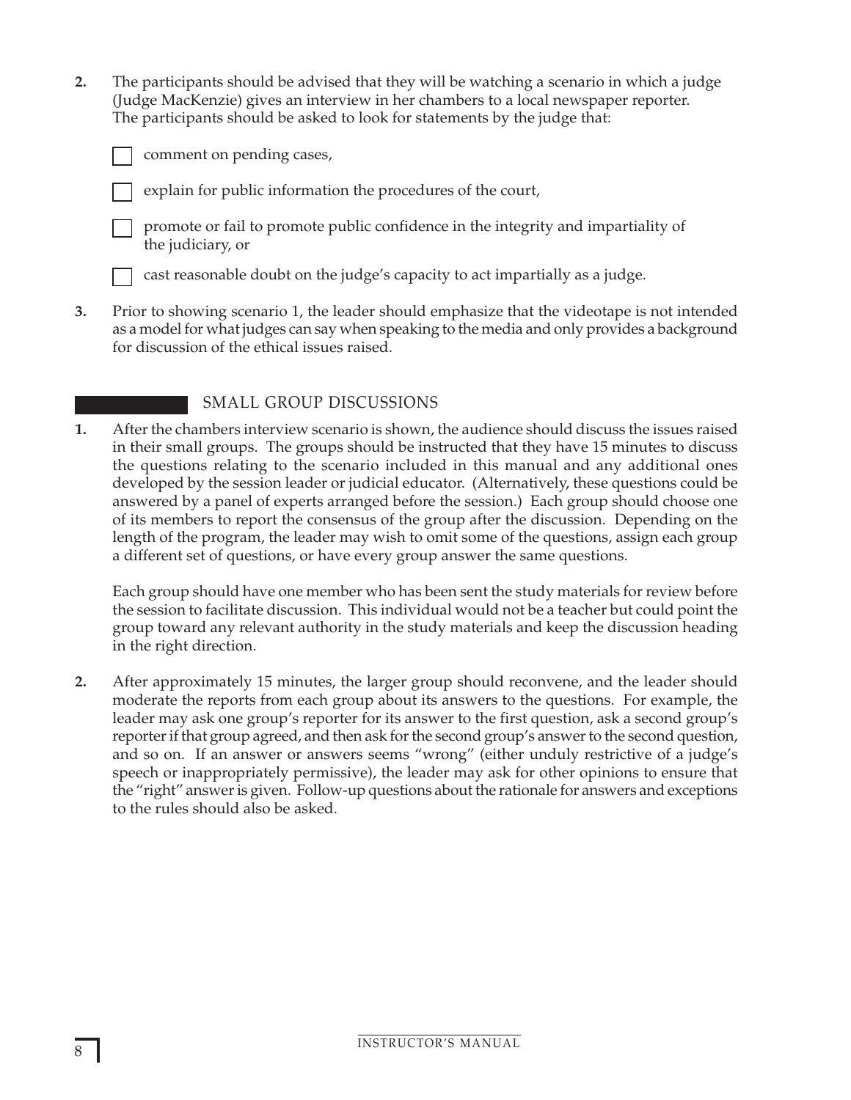**2.** The participants should be advised that they will be watching a scenario in which a judge (Judge MacKenzie) gives an interview in her chambers to a local newspaper reporter. The participants should be asked to look for statements by the judge that:

|  | comment o |  |
|--|-----------|--|
|--|-----------|--|

on pending cases,

explain for public information the procedures of the court,

promote or fail to promote public confidence in the integrity and impartiality of the judiciary, or

cast reasonable doubt on the judge's capacity to act impartially as a judge.

**3.** Prior to showing scenario 1, the leader should emphasize that the videotape is not intended as a model for what judges can say when speaking to the media and only provides a background for discussion of the ethical issues raised.

# SMALL GROUP DISCUSSIONS

**1.** After the chambers interview scenario is shown, the audience should discuss the issues raised in their small groups. The groups should be instructed that they have 15 minutes to discuss the questions relating to the scenario included in this manual and any additional ones developed by the session leader or judicial educator. (Alternatively, these questions could be answered by a panel of experts arranged before the session.) Each group should choose one of its members to report the consensus of the group after the discussion. Depending on the length of the program, the leader may wish to omit some of the questions, assign each group a different set of questions, or have every group answer the same questions.

Each group should have one member who has been sent the study materials for review before the session to facilitate discussion. This individual would not be a teacher but could point the group toward any relevant authority in the study materials and keep the discussion heading in the right direction.

**2.** After approximately 15 minutes, the larger group should reconvene, and the leader should moderate the reports from each group about its answers to the questions. For example, the leader may ask one group's reporter for its answer to the first question, ask a second group's reporter if that group agreed, and then ask for the second group's answer to the second question, and so on. If an answer or answers seems "wrong" (either unduly restrictive of a judge's speech or inappropriately permissive), the leader may ask for other opinions to ensure that the "right" answer is given. Follow-up questions about the rationale for answers and exceptions to the rules should also be asked.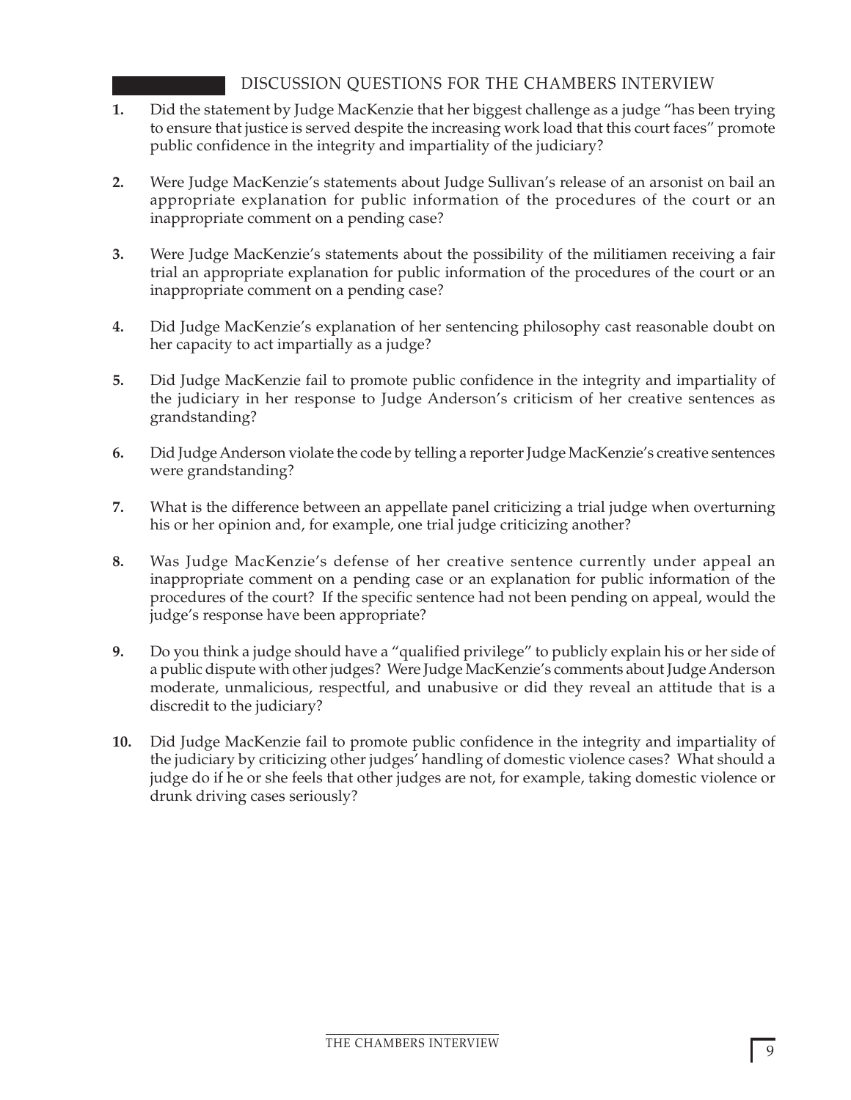# DISCUSSION QUESTIONS FOR THE CHAMBERS INTERVIEW

- **1.** Did the statement by Judge MacKenzie that her biggest challenge as a judge "has been trying to ensure that justice is served despite the increasing work load that this court faces" promote public confidence in the integrity and impartiality of the judiciary?
- **2.** Were Judge MacKenzie's statements about Judge Sullivan's release of an arsonist on bail an appropriate explanation for public information of the procedures of the court or an inappropriate comment on a pending case?
- **3.** Were Judge MacKenzie's statements about the possibility of the militiamen receiving a fair trial an appropriate explanation for public information of the procedures of the court or an inappropriate comment on a pending case?
- **4.** Did Judge MacKenzie's explanation of her sentencing philosophy cast reasonable doubt on her capacity to act impartially as a judge?
- **5.** Did Judge MacKenzie fail to promote public confidence in the integrity and impartiality of the judiciary in her response to Judge Anderson's criticism of her creative sentences as grandstanding?
- **6.** Did Judge Anderson violate the code by telling a reporter Judge MacKenzie's creative sentences were grandstanding?
- **7.** What is the difference between an appellate panel criticizing a trial judge when overturning his or her opinion and, for example, one trial judge criticizing another?
- **8.** Was Judge MacKenzie's defense of her creative sentence currently under appeal an inappropriate comment on a pending case or an explanation for public information of the procedures of the court? If the specific sentence had not been pending on appeal, would the judge's response have been appropriate?
- **9.** Do you think a judge should have a "qualified privilege" to publicly explain his or her side of a public dispute with other judges? Were Judge MacKenzie's comments about Judge Anderson moderate, unmalicious, respectful, and unabusive or did they reveal an attitude that is a discredit to the judiciary?
- **10.** Did Judge MacKenzie fail to promote public confidence in the integrity and impartiality of the judiciary by criticizing other judges' handling of domestic violence cases? What should a judge do if he or she feels that other judges are not, for example, taking domestic violence or drunk driving cases seriously?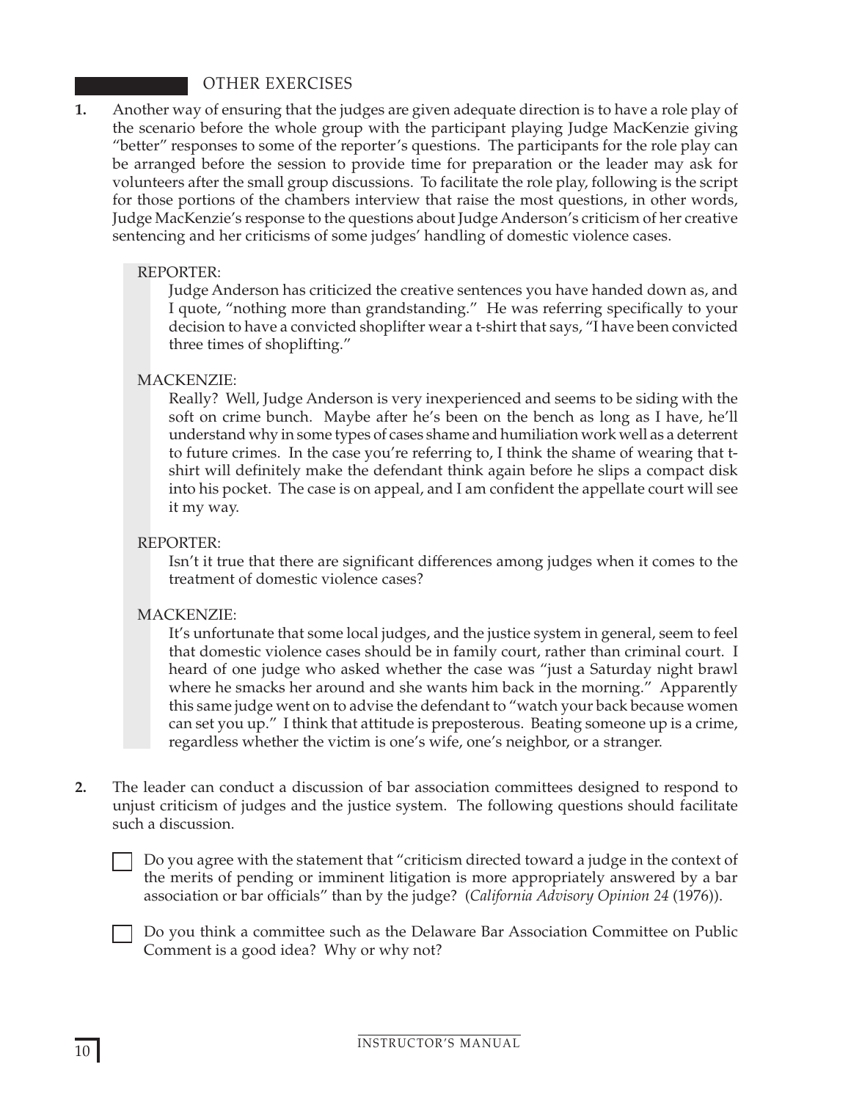# OTHER EXERCISES

**1.** Another way of ensuring that the judges are given adequate direction is to have a role play of the scenario before the whole group with the participant playing Judge MacKenzie giving "better" responses to some of the reporter's questions. The participants for the role play can be arranged before the session to provide time for preparation or the leader may ask for volunteers after the small group discussions. To facilitate the role play, following is the script for those portions of the chambers interview that raise the most questions, in other words, Judge MacKenzie's response to the questions about Judge Anderson's criticism of her creative sentencing and her criticisms of some judges' handling of domestic violence cases.

# REPORTER:

Judge Anderson has criticized the creative sentences you have handed down as, and I quote, "nothing more than grandstanding." He was referring specifically to your decision to have a convicted shoplifter wear a t-shirt that says, "I have been convicted three times of shoplifting."

## MACKENZIE:

Really? Well, Judge Anderson is very inexperienced and seems to be siding with the soft on crime bunch. Maybe after he's been on the bench as long as I have, he'll understand why in some types of cases shame and humiliation work well as a deterrent to future crimes. In the case you're referring to, I think the shame of wearing that tshirt will definitely make the defendant think again before he slips a compact disk into his pocket. The case is on appeal, and I am confident the appellate court will see it my way.

#### REPORTER:

Isn't it true that there are significant differences among judges when it comes to the treatment of domestic violence cases?

#### MACKENZIE:

It's unfortunate that some local judges, and the justice system in general, seem to feel that domestic violence cases should be in family court, rather than criminal court. I heard of one judge who asked whether the case was "just a Saturday night brawl where he smacks her around and she wants him back in the morning." Apparently this same judge went on to advise the defendant to "watch your back because women can set you up." I think that attitude is preposterous. Beating someone up is a crime, regardless whether the victim is one's wife, one's neighbor, or a stranger.

**2.** The leader can conduct a discussion of bar association committees designed to respond to unjust criticism of judges and the justice system. The following questions should facilitate such a discussion.

Do you agree with the statement that "criticism directed toward a judge in the context of the merits of pending or imminent litigation is more appropriately answered by a bar association or bar officials" than by the judge? (*California Advisory Opinion 24* (1976)).

Do you think a committee such as the Delaware Bar Association Committee on Public Comment is a good idea? Why or why not?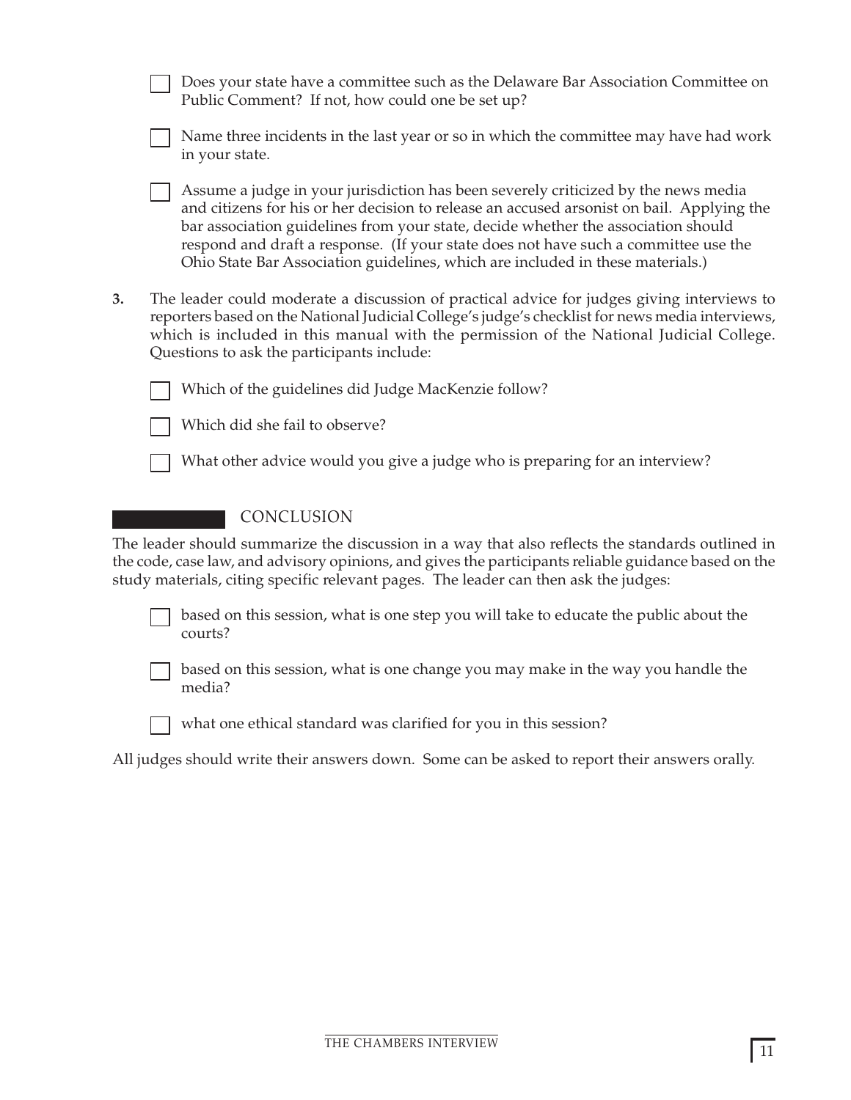|    | Does your state have a committee such as the Delaware Bar Association Committee on<br>Public Comment? If not, how could one be set up?                                                                                                                                                                                                                                                                                                        |
|----|-----------------------------------------------------------------------------------------------------------------------------------------------------------------------------------------------------------------------------------------------------------------------------------------------------------------------------------------------------------------------------------------------------------------------------------------------|
|    | Name three incidents in the last year or so in which the committee may have had work<br>in your state.                                                                                                                                                                                                                                                                                                                                        |
|    | Assume a judge in your jurisdiction has been severely criticized by the news media<br>and citizens for his or her decision to release an accused arsonist on bail. Applying the<br>bar association guidelines from your state, decide whether the association should<br>respond and draft a response. (If your state does not have such a committee use the<br>Ohio State Bar Association guidelines, which are included in these materials.) |
| 3. | The leader could moderate a discussion of practical advice for judges giving interviews to<br>reporters based on the National Judicial College's judge's checklist for news media interviews,<br>which is included in this manual with the permission of the National Judicial College.<br>Questions to ask the participants include:                                                                                                         |
|    | Which of the guidelines did Judge MacKenzie follow?                                                                                                                                                                                                                                                                                                                                                                                           |
|    | Which did she fail to observe?                                                                                                                                                                                                                                                                                                                                                                                                                |
|    | What other advice would you give a judge who is preparing for an interview?                                                                                                                                                                                                                                                                                                                                                                   |
|    | CONCLUSION                                                                                                                                                                                                                                                                                                                                                                                                                                    |
|    | The leader should summarize the discussion in a way that also reflects the standards outlined in<br>the code, case law, and advisory opinions, and gives the participants reliable guidance based on the<br>study materials, citing specific relevant pages. The leader can then ask the judges:                                                                                                                                              |
|    | based on this session, what is one step you will take to educate the public about the<br>courts?                                                                                                                                                                                                                                                                                                                                              |
|    | based on this session, what is one change you may make in the way you handle the<br>media?                                                                                                                                                                                                                                                                                                                                                    |
|    | what one ethical standard was clarified for you in this session?                                                                                                                                                                                                                                                                                                                                                                              |
|    | All judges should write their answers down. Some can be asked to report their answers orally.                                                                                                                                                                                                                                                                                                                                                 |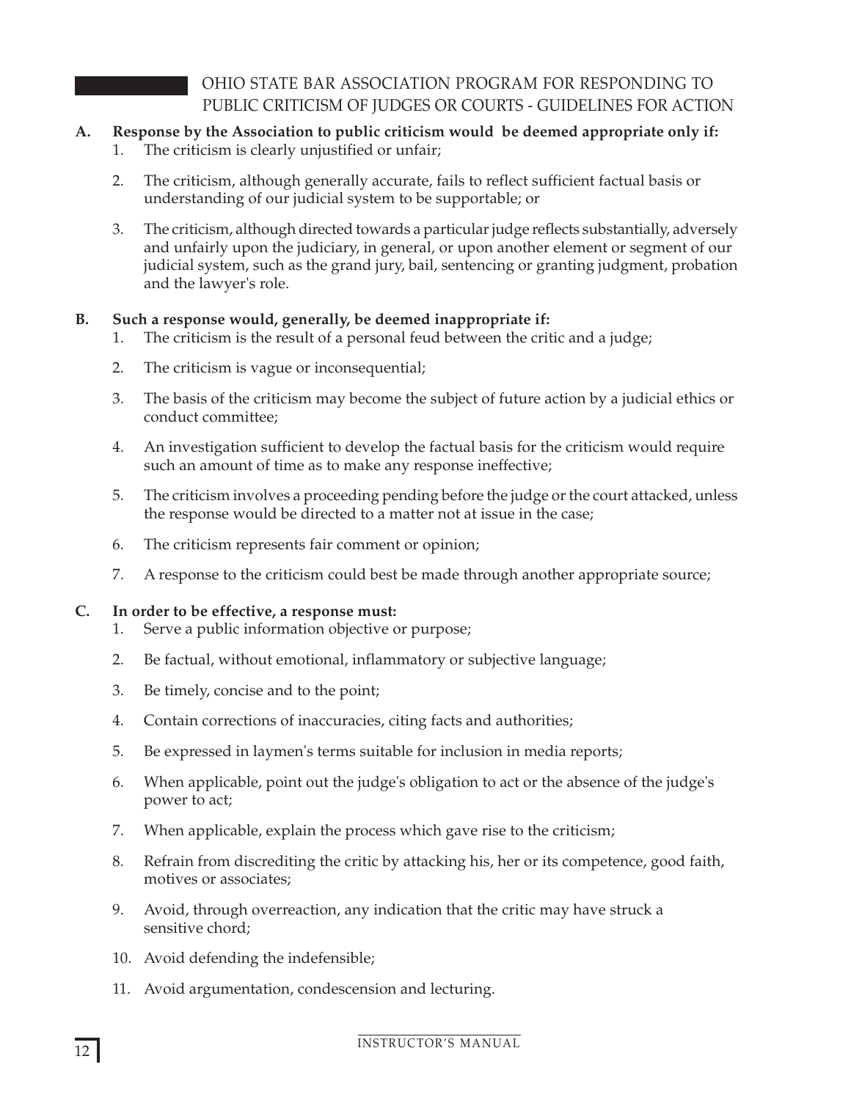# OHIO STATE BAR ASSOCIATION PROGRAM FOR RESPONDING TO PUBLIC CRITICISM OF JUDGES OR COURTS - GUIDELINES FOR ACTION

# **A. Response by the Association to public criticism would be deemed appropriate only if:**

- 1. The criticism is clearly unjustified or unfair;
- 2. The criticism, although generally accurate, fails to reflect sufficient factual basis or understanding of our judicial system to be supportable; or
- 3. The criticism, although directed towards a particular judge reflects substantially, adversely and unfairly upon the judiciary, in general, or upon another element or segment of our judicial system, such as the grand jury, bail, sentencing or granting judgment, probation and the lawyer's role.

# **B. Such a response would, generally, be deemed inappropriate if:**

- 1. The criticism is the result of a personal feud between the critic and a judge;
- 2. The criticism is vague or inconsequential;
- 3. The basis of the criticism may become the subject of future action by a judicial ethics or conduct committee;
- 4. An investigation sufficient to develop the factual basis for the criticism would require such an amount of time as to make any response ineffective;
- 5. The criticism involves a proceeding pending before the judge or the court attacked, unless the response would be directed to a matter not at issue in the case;
- 6. The criticism represents fair comment or opinion;
- 7. A response to the criticism could best be made through another appropriate source;

# **C. In order to be effective, a response must:**

- 1. Serve a public information objective or purpose;
- 2. Be factual, without emotional, inflammatory or subjective language;
- 3. Be timely, concise and to the point;
- 4. Contain corrections of inaccuracies, citing facts and authorities;
- 5. Be expressed in laymen's terms suitable for inclusion in media reports;
- 6. When applicable, point out the judge's obligation to act or the absence of the judge's power to act;
- 7. When applicable, explain the process which gave rise to the criticism;
- 8. Refrain from discrediting the critic by attacking his, her or its competence, good faith, motives or associates;
- 9. Avoid, through overreaction, any indication that the critic may have struck a sensitive chord;
- 10. Avoid defending the indefensible;
- 11. Avoid argumentation, condescension and lecturing.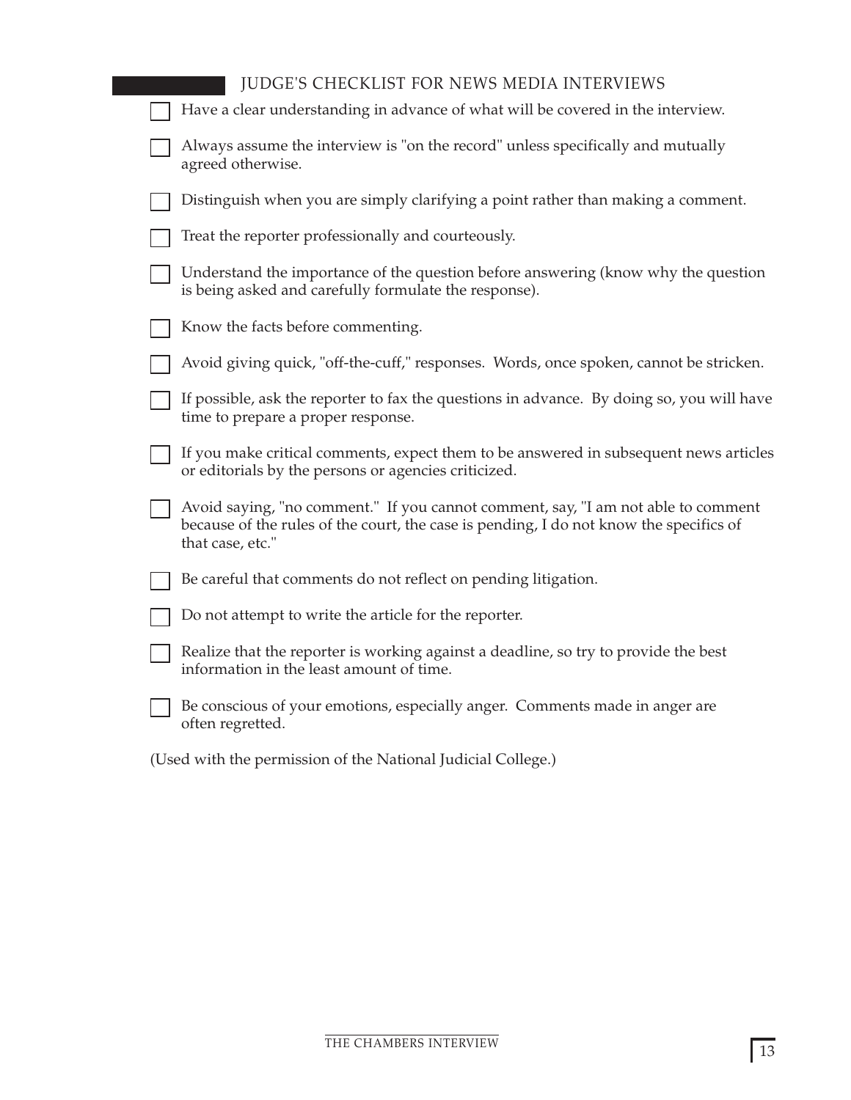| <b>JUDGE'S CHECKLIST FOR NEWS MEDIA INTERVIEWS</b>                                                                                                                                              |
|-------------------------------------------------------------------------------------------------------------------------------------------------------------------------------------------------|
| Have a clear understanding in advance of what will be covered in the interview.                                                                                                                 |
| Always assume the interview is "on the record" unless specifically and mutually<br>agreed otherwise.                                                                                            |
| Distinguish when you are simply clarifying a point rather than making a comment.                                                                                                                |
| Treat the reporter professionally and courteously.                                                                                                                                              |
| Understand the importance of the question before answering (know why the question<br>is being asked and carefully formulate the response).                                                      |
| Know the facts before commenting.                                                                                                                                                               |
| Avoid giving quick, "off-the-cuff," responses. Words, once spoken, cannot be stricken.                                                                                                          |
| If possible, ask the reporter to fax the questions in advance. By doing so, you will have<br>time to prepare a proper response.                                                                 |
| If you make critical comments, expect them to be answered in subsequent news articles<br>or editorials by the persons or agencies criticized.                                                   |
| Avoid saying, "no comment." If you cannot comment, say, "I am not able to comment<br>because of the rules of the court, the case is pending, I do not know the specifics of<br>that case, etc." |
| Be careful that comments do not reflect on pending litigation.                                                                                                                                  |
| Do not attempt to write the article for the reporter.                                                                                                                                           |
| Realize that the reporter is working against a deadline, so try to provide the best<br>information in the least amount of time.                                                                 |
| Be conscious of your emotions, especially anger. Comments made in anger are<br>often regretted.                                                                                                 |
| (Used with the permission of the National Judicial College.)                                                                                                                                    |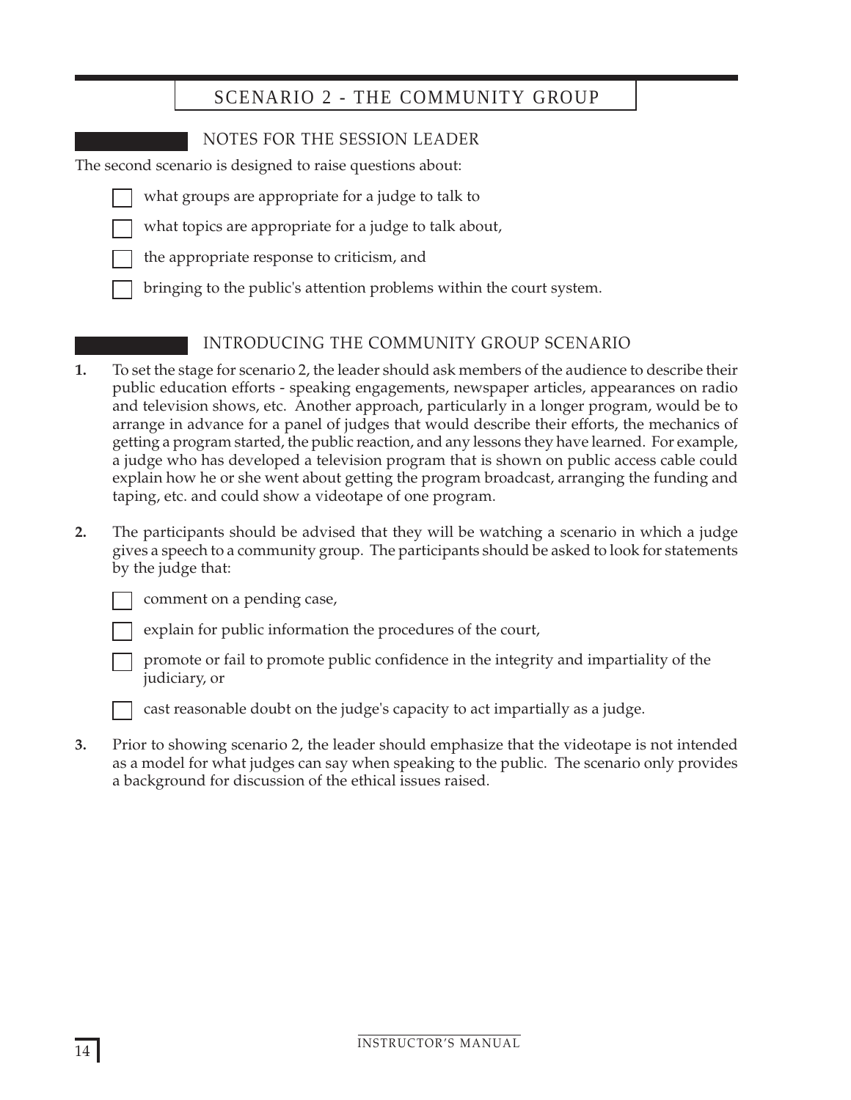# SCENARIO 2 - THE COMMUNITY GROUP

# NOTES FOR THE SESSION LEADER

The second scenario is designed to raise questions about:

- what groups are appropriate for a judge to talk to
- what topics are appropriate for a judge to talk about,
- the appropriate response to criticism, and
- bringing to the public's attention problems within the court system.

# INTRODUCING THE COMMUNITY GROUP SCENARIO

- **1.** To set the stage for scenario 2, the leader should ask members of the audience to describe their public education efforts - speaking engagements, newspaper articles, appearances on radio and television shows, etc. Another approach, particularly in a longer program, would be to arrange in advance for a panel of judges that would describe their efforts, the mechanics of getting a program started, the public reaction, and any lessons they have learned. For example, a judge who has developed a television program that is shown on public access cable could explain how he or she went about getting the program broadcast, arranging the funding and taping, etc. and could show a videotape of one program.
- **2.** The participants should be advised that they will be watching a scenario in which a judge gives a speech to a community group. The participants should be asked to look for statements by the judge that:

comment on a pending case,

explain for public information the procedures of the court,



promote or fail to promote public confidence in the integrity and impartiality of the judiciary, or

cast reasonable doubt on the judge's capacity to act impartially as a judge.

**3.** Prior to showing scenario 2, the leader should emphasize that the videotape is not intended as a model for what judges can say when speaking to the public. The scenario only provides a background for discussion of the ethical issues raised.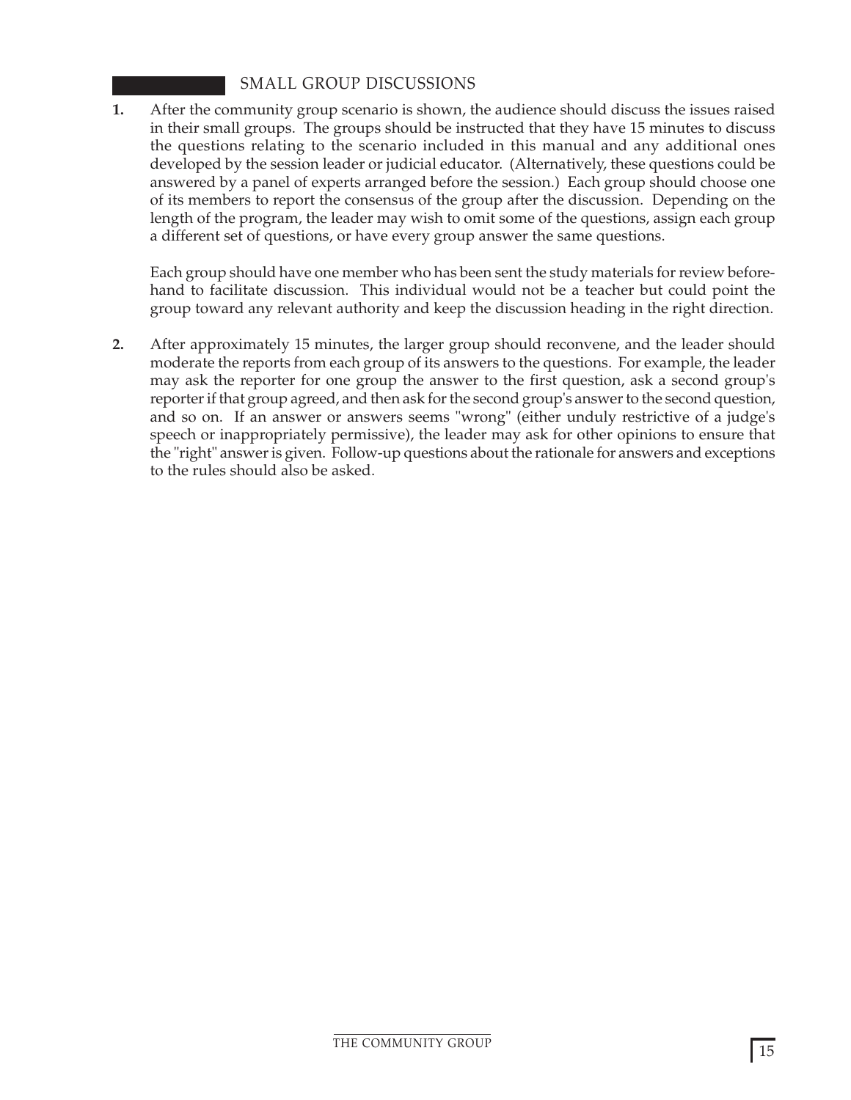# SMALL GROUP DISCUSSIONS

**1.** After the community group scenario is shown, the audience should discuss the issues raised in their small groups. The groups should be instructed that they have 15 minutes to discuss the questions relating to the scenario included in this manual and any additional ones developed by the session leader or judicial educator. (Alternatively, these questions could be answered by a panel of experts arranged before the session.) Each group should choose one of its members to report the consensus of the group after the discussion. Depending on the length of the program, the leader may wish to omit some of the questions, assign each group a different set of questions, or have every group answer the same questions.

Each group should have one member who has been sent the study materials for review beforehand to facilitate discussion. This individual would not be a teacher but could point the group toward any relevant authority and keep the discussion heading in the right direction.

**2.** After approximately 15 minutes, the larger group should reconvene, and the leader should moderate the reports from each group of its answers to the questions. For example, the leader may ask the reporter for one group the answer to the first question, ask a second group's reporter if that group agreed, and then ask for the second group's answer to the second question, and so on. If an answer or answers seems "wrong" (either unduly restrictive of a judge's speech or inappropriately permissive), the leader may ask for other opinions to ensure that the "right" answer is given. Follow-up questions about the rationale for answers and exceptions to the rules should also be asked.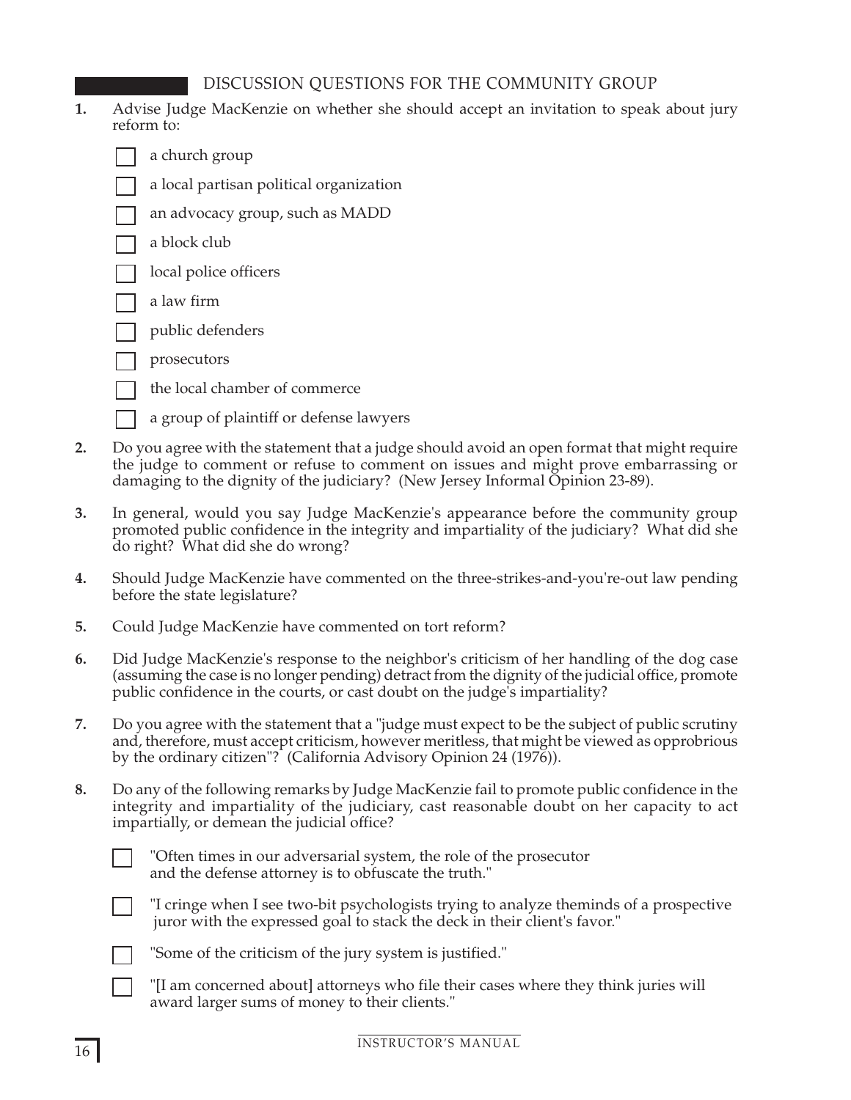# DISCUSSION QUESTIONS FOR THE COMMUNITY GROUP

- **1.** Advise Judge MacKenzie on whether she should accept an invitation to speak about jury reform to:
	- a church group
	- a local partisan political organization
	- an advocacy group, such as MADD
	- a block club
	- local police officers
	- a law firm
	- public defenders
	- prosecutors
	- the local chamber of commerce
	- a group of plaintiff or defense lawyers
- **2.** Do you agree with the statement that a judge should avoid an open format that might require the judge to comment or refuse to comment on issues and might prove embarrassing or damaging to the dignity of the judiciary? (New Jersey Informal Opinion 23-89).
- **3.** In general, would you say Judge MacKenzie's appearance before the community group promoted public confidence in the integrity and impartiality of the judiciary? What did she do right? What did she do wrong?
- **4.** Should Judge MacKenzie have commented on the three-strikes-and-you're-out law pending before the state legislature?
- **5.** Could Judge MacKenzie have commented on tort reform?
- **6.** Did Judge MacKenzie's response to the neighbor's criticism of her handling of the dog case (assuming the case is no longer pending) detract from the dignity of the judicial office, promote public confidence in the courts, or cast doubt on the judge's impartiality?
- **7.** Do you agree with the statement that a "judge must expect to be the subject of public scrutiny and, therefore, must accept criticism, however meritless, that might be viewed as opprobrious by the ordinary citizen"? (California Advisory Opinion 24 (1976)).
- **8.** Do any of the following remarks by Judge MacKenzie fail to promote public confidence in the integrity and impartiality of the judiciary, cast reasonable doubt on her capacity to act impartially, or demean the judicial office?



"Often times in our adversarial system, the role of the prosecutor and the defense attorney is to obfuscate the truth."



"I cringe when I see two-bit psychologists trying to analyze theminds of a prospective juror with the expressed goal to stack the deck in their client's favor."



- "Some of the criticism of the jury system is justified."
- "[I am concerned about] attorneys who file their cases where they think juries will award larger sums of money to their clients."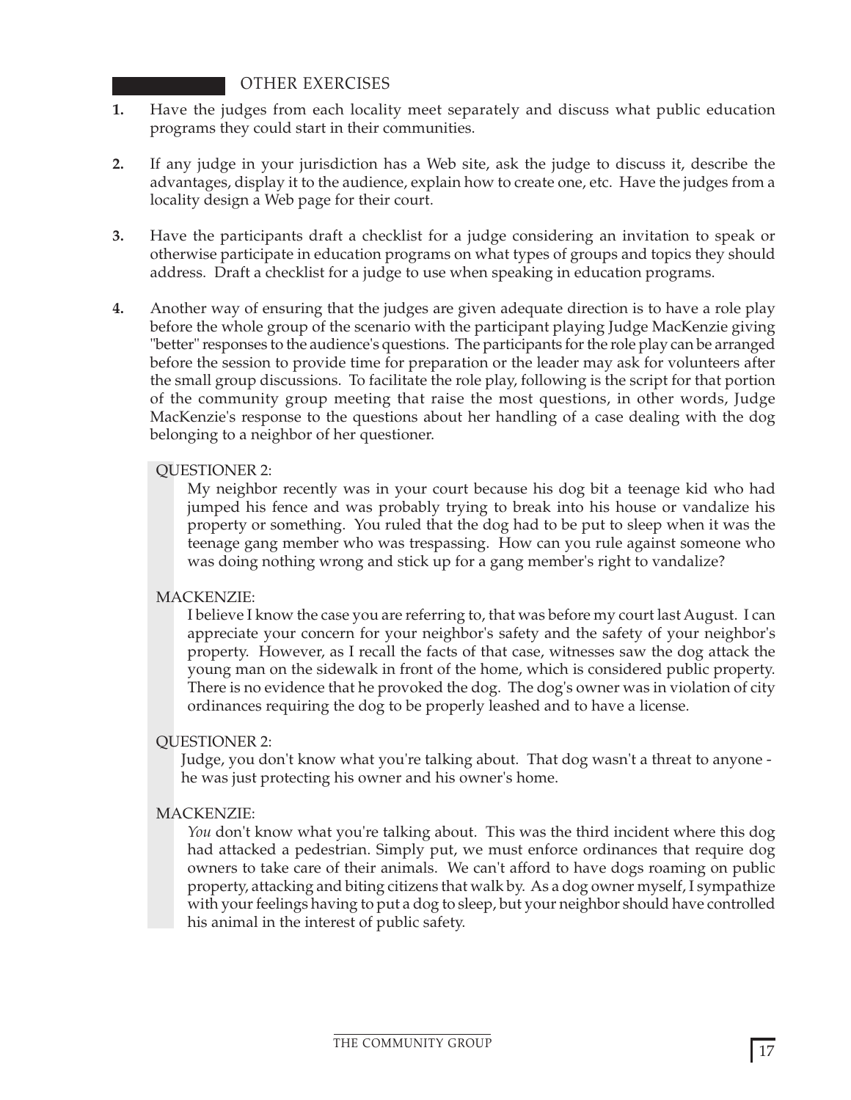# OTHER EXERCISES

- **1.** Have the judges from each locality meet separately and discuss what public education programs they could start in their communities.
- **2.** If any judge in your jurisdiction has a Web site, ask the judge to discuss it, describe the advantages, display it to the audience, explain how to create one, etc. Have the judges from a locality design a Web page for their court.
- **3.** Have the participants draft a checklist for a judge considering an invitation to speak or otherwise participate in education programs on what types of groups and topics they should address. Draft a checklist for a judge to use when speaking in education programs.
- **4.** Another way of ensuring that the judges are given adequate direction is to have a role play before the whole group of the scenario with the participant playing Judge MacKenzie giving "better" responses to the audience's questions. The participants for the role play can be arranged before the session to provide time for preparation or the leader may ask for volunteers after the small group discussions. To facilitate the role play, following is the script for that portion of the community group meeting that raise the most questions, in other words, Judge MacKenzie's response to the questions about her handling of a case dealing with the dog belonging to a neighbor of her questioner.

## QUESTIONER 2:

My neighbor recently was in your court because his dog bit a teenage kid who had jumped his fence and was probably trying to break into his house or vandalize his property or something. You ruled that the dog had to be put to sleep when it was the teenage gang member who was trespassing. How can you rule against someone who was doing nothing wrong and stick up for a gang member's right to vandalize?

#### MACKENZIE:

I believe I know the case you are referring to, that was before my court last August. I can appreciate your concern for your neighbor's safety and the safety of your neighbor's property. However, as I recall the facts of that case, witnesses saw the dog attack the young man on the sidewalk in front of the home, which is considered public property. There is no evidence that he provoked the dog. The dog's owner was in violation of city ordinances requiring the dog to be properly leashed and to have a license.

#### QUESTIONER 2:

Judge, you don't know what you're talking about. That dog wasn't a threat to anyone he was just protecting his owner and his owner's home.

#### MACKENZIE:

*You* don't know what you're talking about. This was the third incident where this dog had attacked a pedestrian. Simply put, we must enforce ordinances that require dog owners to take care of their animals. We can't afford to have dogs roaming on public property, attacking and biting citizens that walk by. As a dog owner myself, I sympathize with your feelings having to put a dog to sleep, but your neighbor should have controlled his animal in the interest of public safety.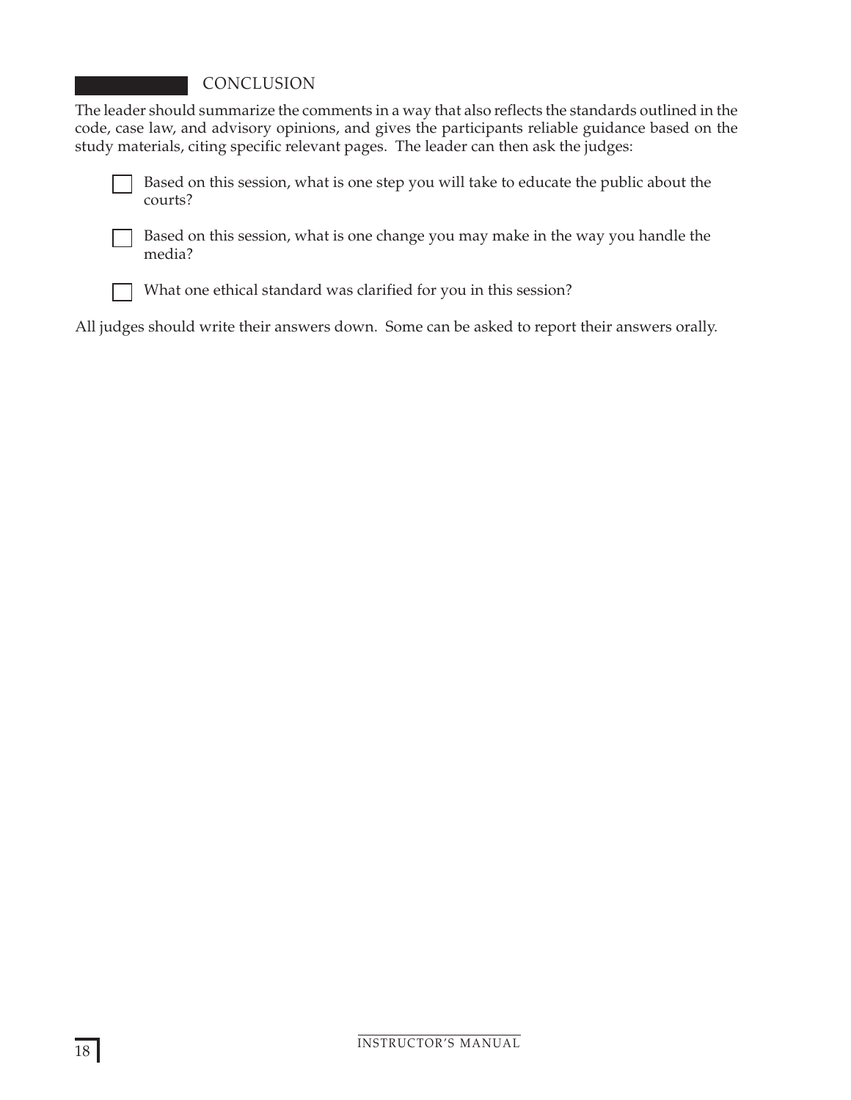# CONCLUSION

The leader should summarize the comments in a way that also reflects the standards outlined in the code, case law, and advisory opinions, and gives the participants reliable guidance based on the study materials, citing specific relevant pages. The leader can then ask the judges:



Based on this session, what is one step you will take to educate the public about the courts?



Based on this session, what is one change you may make in the way you handle the media?



What one ethical standard was clarified for you in this session?

All judges should write their answers down. Some can be asked to report their answers orally.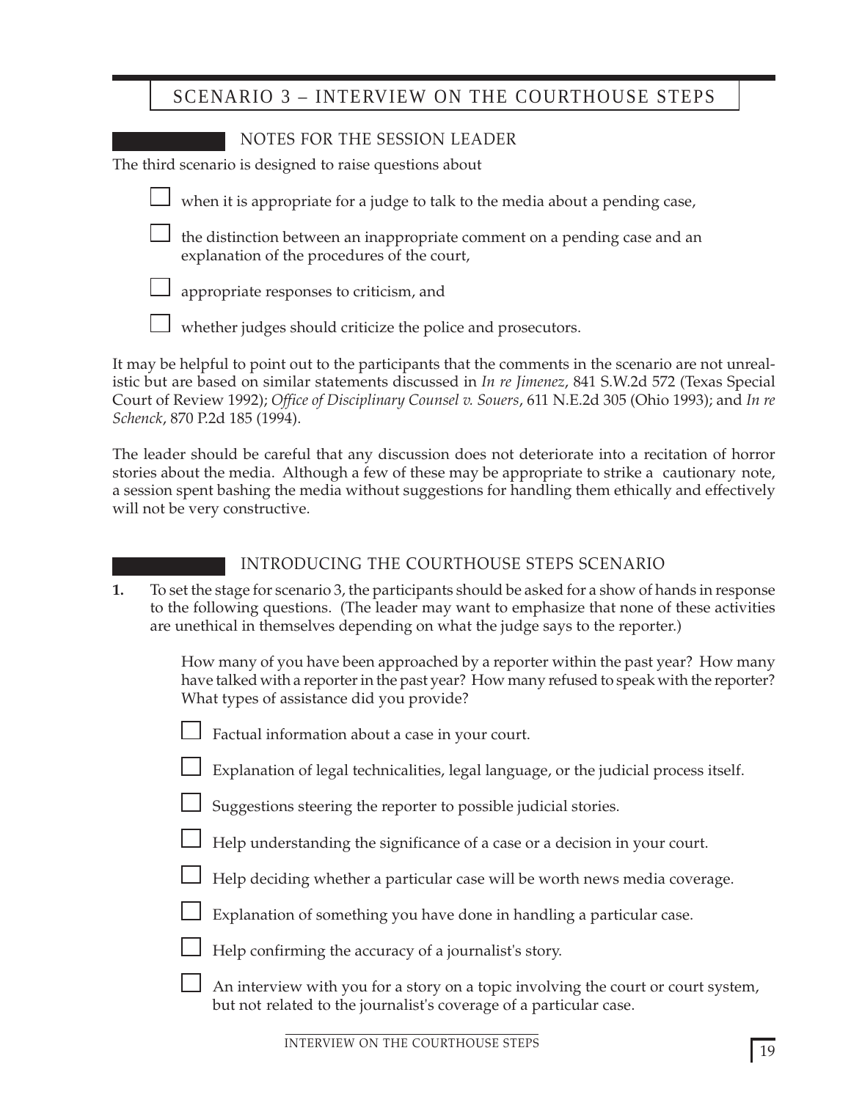# SCENARIO 3 – INTERVIEW ON THE COURTHOUSE STEPS

| NOTES FOR THE SESSION LEADER                                                                                             |
|--------------------------------------------------------------------------------------------------------------------------|
| The third scenario is designed to raise questions about                                                                  |
| when it is appropriate for a judge to talk to the media about a pending case,                                            |
| the distinction between an inappropriate comment on a pending case and an<br>explanation of the procedures of the court, |
| $\Box$ appropriate responses to criticism, and                                                                           |
| $\Box$ whether judges should criticize the police and prosecutors.                                                       |
| It may be helpful to noint out to the pertiginante that the commente in the commic are no                                |

It may be helpful to point out to the participants that the comments in the scenario are not unrealistic but are based on similar statements discussed in *In re Jimenez*, 841 S.W.2d 572 (Texas Special Court of Review 1992); *Office of Disciplinary Counsel v. Souers*, 611 N.E.2d 305 (Ohio 1993); and *In re Schenck*, 870 P.2d 185 (1994).

The leader should be careful that any discussion does not deteriorate into a recitation of horror stories about the media. Although a few of these may be appropriate to strike a cautionary note, a session spent bashing the media without suggestions for handling them ethically and effectively will not be very constructive.

# INTRODUCING THE COURTHOUSE STEPS SCENARIO

**1.** To set the stage for scenario 3, the participants should be asked for a show of hands in response to the following questions. (The leader may want to emphasize that none of these activities are unethical in themselves depending on what the judge says to the reporter.)

> How many of you have been approached by a reporter within the past year? How many have talked with a reporter in the past year? How many refused to speak with the reporter? What types of assistance did you provide?

| $\Box$ Factual information about a case in your court |  |
|-------------------------------------------------------|--|
|-------------------------------------------------------|--|

Explanation of legal technicalities, legal language, or the judicial process itself.

- Suggestions steering the reporter to possible judicial stories.
- Help understanding the significance of a case or a decision in your court.
- Help deciding whether a particular case will be worth news media coverage.
- Explanation of something you have done in handling a particular case.
- Help confirming the accuracy of a journalist's story.
	- An interview with you for a story on a topic involving the court or court system, but not related to the journalist's coverage of a particular case.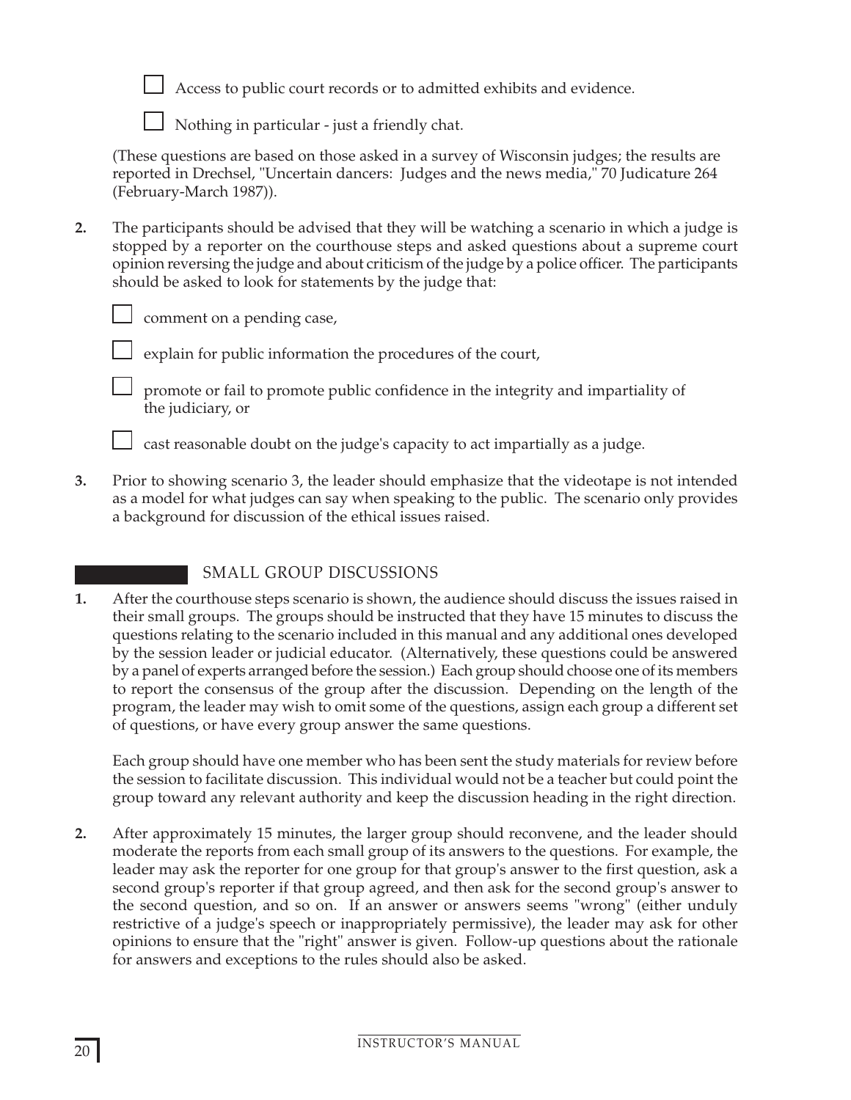

Access to public court records or to admitted exhibits and evidence.

Nothing in particular - just a friendly chat.

(These questions are based on those asked in a survey of Wisconsin judges; the results are reported in Drechsel, "Uncertain dancers: Judges and the news media," 70 Judicature 264 (February-March 1987)).

**2.** The participants should be advised that they will be watching a scenario in which a judge is stopped by a reporter on the courthouse steps and asked questions about a supreme court opinion reversing the judge and about criticism of the judge by a police officer. The participants should be asked to look for statements by the judge that:

comment on a pending case,

explain for public information the procedures of the court,

promote or fail to promote public confidence in the integrity and impartiality of the judiciary, or

cast reasonable doubt on the judge's capacity to act impartially as a judge.

**3.** Prior to showing scenario 3, the leader should emphasize that the videotape is not intended as a model for what judges can say when speaking to the public. The scenario only provides a background for discussion of the ethical issues raised.

# SMALL GROUP DISCUSSIONS

**1.** After the courthouse steps scenario is shown, the audience should discuss the issues raised in their small groups. The groups should be instructed that they have 15 minutes to discuss the questions relating to the scenario included in this manual and any additional ones developed by the session leader or judicial educator. (Alternatively, these questions could be answered by a panel of experts arranged before the session.) Each group should choose one of its members to report the consensus of the group after the discussion. Depending on the length of the program, the leader may wish to omit some of the questions, assign each group a different set of questions, or have every group answer the same questions.

Each group should have one member who has been sent the study materials for review before the session to facilitate discussion. This individual would not be a teacher but could point the group toward any relevant authority and keep the discussion heading in the right direction.

**2.** After approximately 15 minutes, the larger group should reconvene, and the leader should moderate the reports from each small group of its answers to the questions. For example, the leader may ask the reporter for one group for that group's answer to the first question, ask a second group's reporter if that group agreed, and then ask for the second group's answer to the second question, and so on. If an answer or answers seems "wrong" (either unduly restrictive of a judge's speech or inappropriately permissive), the leader may ask for other opinions to ensure that the "right" answer is given. Follow-up questions about the rationale for answers and exceptions to the rules should also be asked.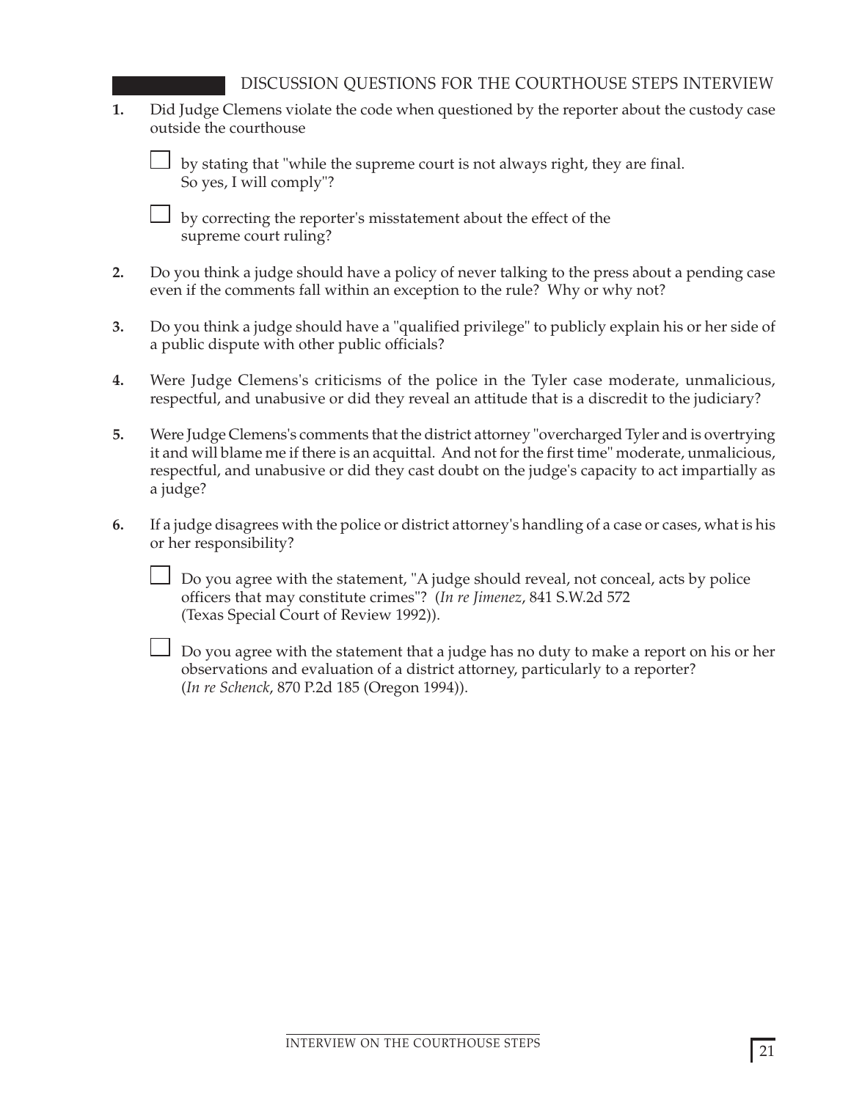DISCUSSION QUESTIONS FOR THE COURTHOUSE STEPS INTERVIEW

**1.** Did Judge Clemens violate the code when questioned by the reporter about the custody case outside the courthouse

by stating that "while the supreme court is not always right, they are final. So yes, I will comply"?

 $\Box$  by correcting the reporter's misstatement about the effect of the supreme court ruling?

- **2.** Do you think a judge should have a policy of never talking to the press about a pending case even if the comments fall within an exception to the rule? Why or why not?
- **3.** Do you think a judge should have a "qualified privilege" to publicly explain his or her side of a public dispute with other public officials?
- **4.** Were Judge Clemens's criticisms of the police in the Tyler case moderate, unmalicious, respectful, and unabusive or did they reveal an attitude that is a discredit to the judiciary?
- **5.** Were Judge Clemens's comments that the district attorney "overcharged Tyler and is overtrying it and will blame me if there is an acquittal. And not for the first time" moderate, unmalicious, respectful, and unabusive or did they cast doubt on the judge's capacity to act impartially as a judge?
- **6.** If a judge disagrees with the police or district attorney's handling of a case or cases, what is his or her responsibility?

Do you agree with the statement, "A judge should reveal, not conceal, acts by police officers that may constitute crimes"? (*In re Jimenez*, 841 S.W.2d 572 (Texas Special Court of Review 1992)).

 $\Box$  Do you agree with the statement that a judge has no duty to make a report on his or her observations and evaluation of a district attorney, particularly to a reporter? (*In re Schenck*, 870 P.2d 185 (Oregon 1994)).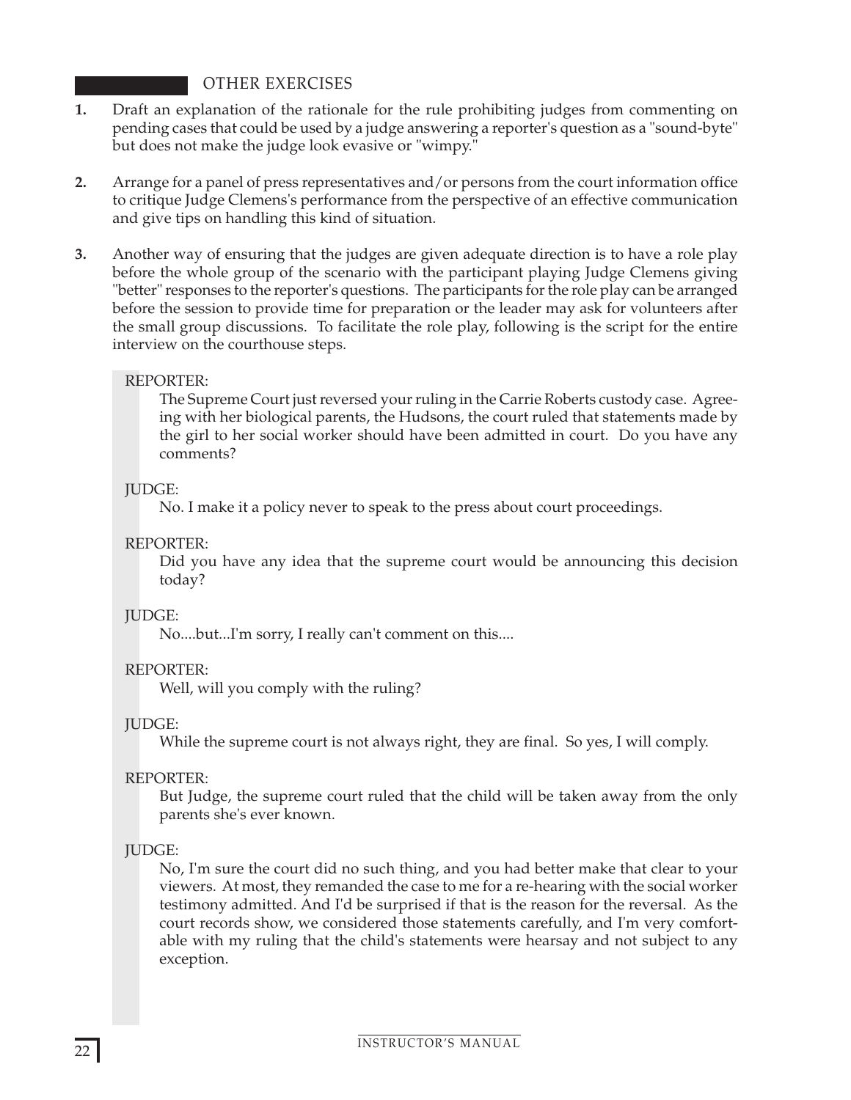# OTHER EXERCISES

- **1.** Draft an explanation of the rationale for the rule prohibiting judges from commenting on pending cases that could be used by a judge answering a reporter's question as a "sound-byte" but does not make the judge look evasive or "wimpy."
- **2.** Arrange for a panel of press representatives and/or persons from the court information office to critique Judge Clemens's performance from the perspective of an effective communication and give tips on handling this kind of situation.
- **3.** Another way of ensuring that the judges are given adequate direction is to have a role play before the whole group of the scenario with the participant playing Judge Clemens giving "better" responses to the reporter's questions. The participants for the role play can be arranged before the session to provide time for preparation or the leader may ask for volunteers after the small group discussions. To facilitate the role play, following is the script for the entire interview on the courthouse steps.

## REPORTER:

The Supreme Court just reversed your ruling in the Carrie Roberts custody case. Agreeing with her biological parents, the Hudsons, the court ruled that statements made by the girl to her social worker should have been admitted in court. Do you have any comments?

#### JUDGE:

No. I make it a policy never to speak to the press about court proceedings.

# REPORTER:

Did you have any idea that the supreme court would be announcing this decision today?

#### JUDGE:

No....but...I'm sorry, I really can't comment on this....

#### REPORTER:

Well, will you comply with the ruling?

# JUDGE:

While the supreme court is not always right, they are final. So yes, I will comply.

#### REPORTER:

But Judge, the supreme court ruled that the child will be taken away from the only parents she's ever known.

#### JUDGE:

No, I'm sure the court did no such thing, and you had better make that clear to your viewers. At most, they remanded the case to me for a re-hearing with the social worker testimony admitted. And I'd be surprised if that is the reason for the reversal. As the court records show, we considered those statements carefully, and I'm very comfortable with my ruling that the child's statements were hearsay and not subject to any exception.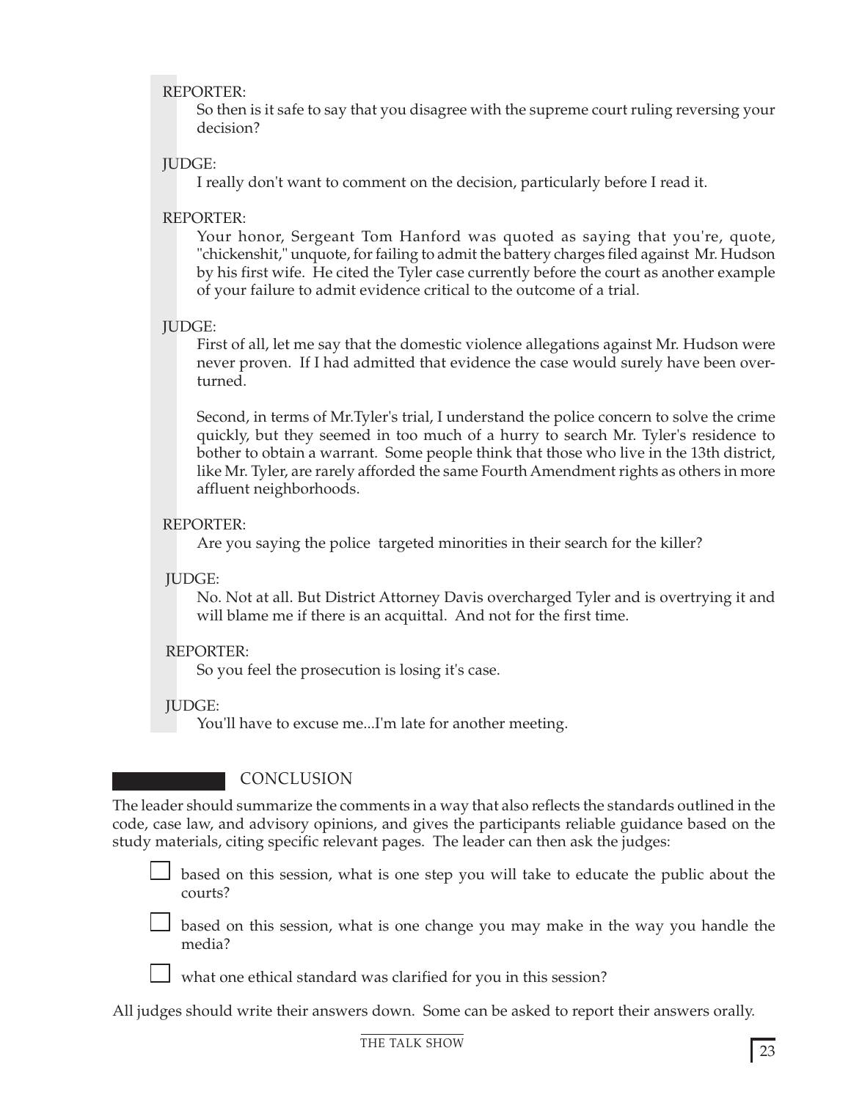#### REPORTER:

So then is it safe to say that you disagree with the supreme court ruling reversing your decision?

## JUDGE:

I really don't want to comment on the decision, particularly before I read it.

#### REPORTER:

Your honor, Sergeant Tom Hanford was quoted as saying that you're, quote, "chickenshit," unquote, for failing to admit the battery charges filed against Mr. Hudson by his first wife. He cited the Tyler case currently before the court as another example of your failure to admit evidence critical to the outcome of a trial.

## JUDGE:

First of all, let me say that the domestic violence allegations against Mr. Hudson were never proven. If I had admitted that evidence the case would surely have been overturned.

Second, in terms of Mr.Tyler's trial, I understand the police concern to solve the crime quickly, but they seemed in too much of a hurry to search Mr. Tyler's residence to bother to obtain a warrant. Some people think that those who live in the 13th district, like Mr. Tyler, are rarely afforded the same Fourth Amendment rights as others in more affluent neighborhoods.

## REPORTER:

Are you saying the police targeted minorities in their search for the killer?

#### JUDGE:

No. Not at all. But District Attorney Davis overcharged Tyler and is overtrying it and will blame me if there is an acquittal. And not for the first time.

# REPORTER:

So you feel the prosecution is losing it's case.

# JUDGE:

You'll have to excuse me...I'm late for another meeting.

# CONCLUSION

The leader should summarize the comments in a way that also reflects the standards outlined in the code, case law, and advisory opinions, and gives the participants reliable guidance based on the study materials, citing specific relevant pages. The leader can then ask the judges:

based on this session, what is one step you will take to educate the public about the courts?

 $\Box$  based on this session, what is one change you may make in the way you handle the media?

what one ethical standard was clarified for you in this session?

All judges should write their answers down. Some can be asked to report their answers orally.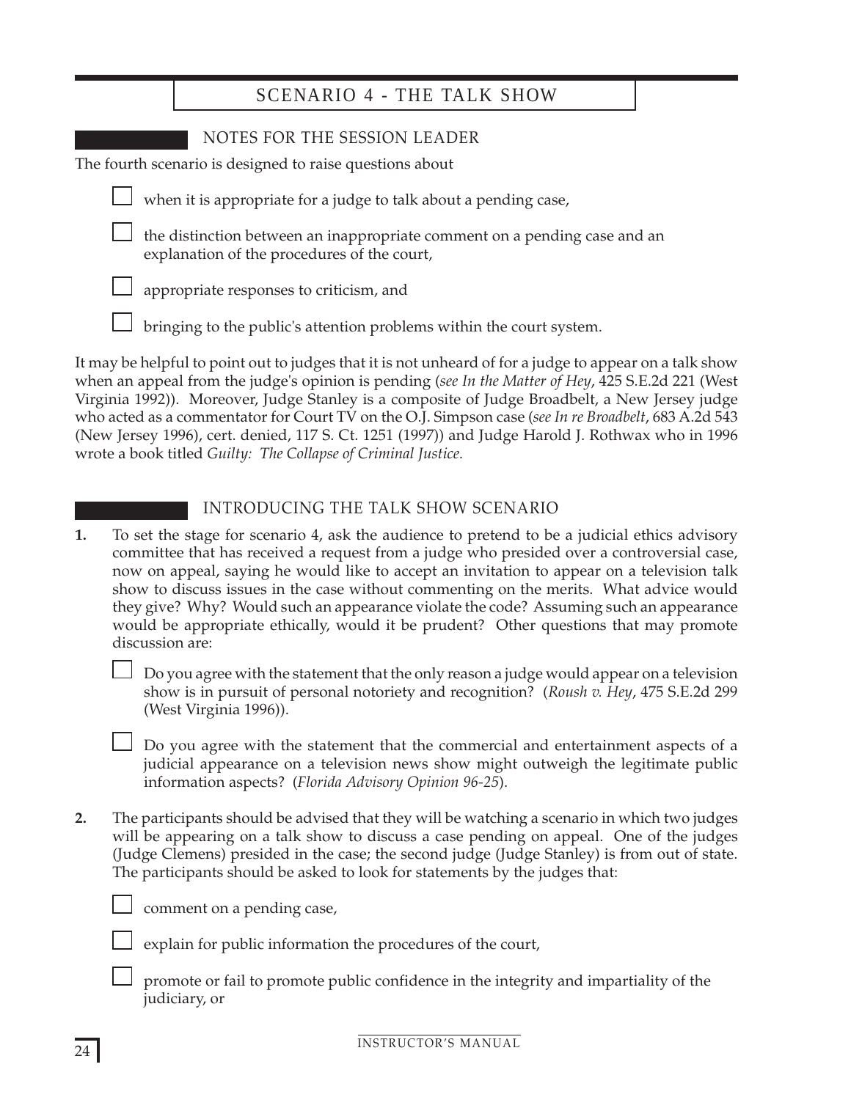| <b>SCENARIO 4 - THE TALK SHOW</b>                                                                                        |  |
|--------------------------------------------------------------------------------------------------------------------------|--|
| NOTES FOR THE SESSION LEADER<br>The fourth scenario is designed to raise questions about                                 |  |
| when it is appropriate for a judge to talk about a pending case,                                                         |  |
| the distinction between an inappropriate comment on a pending case and an<br>explanation of the procedures of the court, |  |
| appropriate responses to criticism, and                                                                                  |  |
| bringing to the public's attention problems within the court system.                                                     |  |
| It may be belieful to point out to judge that it is not unbeard of for a judge to appear on a talk show                  |  |

It may be helpful to point out to judges that it is not unheard of for a judge to appear on a talk show when an appeal from the judge's opinion is pending (*see In the Matter of Hey*, 425 S.E.2d 221 (West Virginia 1992)). Moreover, Judge Stanley is a composite of Judge Broadbelt, a New Jersey judge who acted as a commentator for Court TV on the O.J. Simpson case (*see In re Broadbelt*, 683 A.2d 543 (New Jersey 1996), cert. denied, 117 S. Ct. 1251 (1997)) and Judge Harold J. Rothwax who in 1996 wrote a book titled *Guilty: The Collapse of Criminal Justice.*

# INTRODUCING THE TALK SHOW SCENARIO

**1.** To set the stage for scenario 4, ask the audience to pretend to be a judicial ethics advisory committee that has received a request from a judge who presided over a controversial case, now on appeal, saying he would like to accept an invitation to appear on a television talk show to discuss issues in the case without commenting on the merits. What advice would they give? Why? Would such an appearance violate the code? Assuming such an appearance would be appropriate ethically, would it be prudent? Other questions that may promote discussion are:

Do you agree with the statement that the only reason a judge would appear on a television show is in pursuit of personal notoriety and recognition? (*Roush v. Hey*, 475 S.E.2d 299 (West Virginia 1996)).

 $\Box$  Do you agree with the statement that the commercial and entertainment aspects of a judicial appearance on a television news show might outweigh the legitimate public information aspects? (*Florida Advisory Opinion 96-25*).

**2.** The participants should be advised that they will be watching a scenario in which two judges will be appearing on a talk show to discuss a case pending on appeal. One of the judges (Judge Clemens) presided in the case; the second judge (Judge Stanley) is from out of state. The participants should be asked to look for statements by the judges that:



comment on a pending case,

explain for public information the procedures of the court,

promote or fail to promote public confidence in the integrity and impartiality of the judiciary, or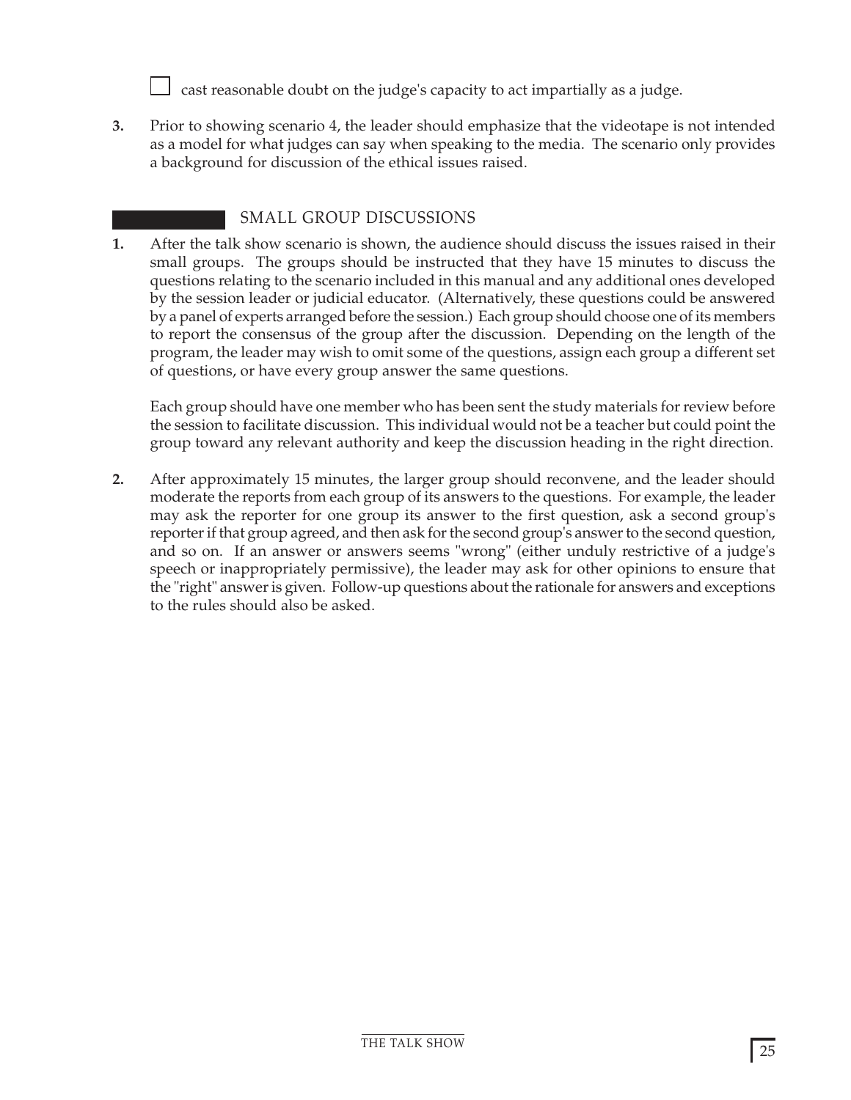cast reasonable doubt on the judge's capacity to act impartially as a judge.

**3.** Prior to showing scenario 4, the leader should emphasize that the videotape is not intended as a model for what judges can say when speaking to the media. The scenario only provides a background for discussion of the ethical issues raised.

# SMALL GROUP DISCUSSIONS

**1.** After the talk show scenario is shown, the audience should discuss the issues raised in their small groups. The groups should be instructed that they have 15 minutes to discuss the questions relating to the scenario included in this manual and any additional ones developed by the session leader or judicial educator. (Alternatively, these questions could be answered by a panel of experts arranged before the session.) Each group should choose one of its members to report the consensus of the group after the discussion. Depending on the length of the program, the leader may wish to omit some of the questions, assign each group a different set of questions, or have every group answer the same questions.

Each group should have one member who has been sent the study materials for review before the session to facilitate discussion. This individual would not be a teacher but could point the group toward any relevant authority and keep the discussion heading in the right direction.

**2.** After approximately 15 minutes, the larger group should reconvene, and the leader should moderate the reports from each group of its answers to the questions. For example, the leader may ask the reporter for one group its answer to the first question, ask a second group's reporter if that group agreed, and then ask for the second group's answer to the second question, and so on. If an answer or answers seems "wrong" (either unduly restrictive of a judge's speech or inappropriately permissive), the leader may ask for other opinions to ensure that the "right" answer is given. Follow-up questions about the rationale for answers and exceptions to the rules should also be asked.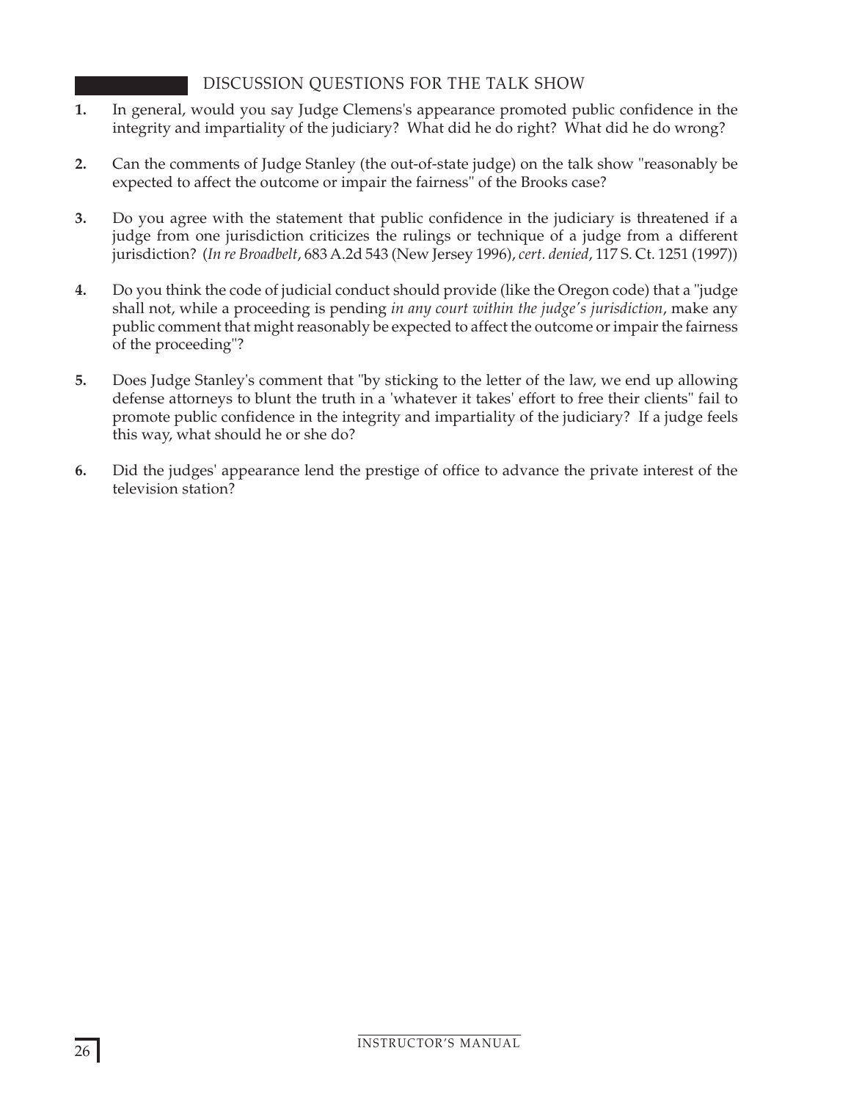# DISCUSSION QUESTIONS FOR THE TALK SHOW

- **1.** In general, would you say Judge Clemens's appearance promoted public confidence in the integrity and impartiality of the judiciary? What did he do right? What did he do wrong?
- **2.** Can the comments of Judge Stanley (the out-of-state judge) on the talk show "reasonably be expected to affect the outcome or impair the fairness" of the Brooks case?
- **3.** Do you agree with the statement that public confidence in the judiciary is threatened if a judge from one jurisdiction criticizes the rulings or technique of a judge from a different jurisdiction? (*In re Broadbelt*, 683 A.2d 543 (New Jersey 1996), *cert. denied*, 117 S. Ct. 1251 (1997))
- **4.** Do you think the code of judicial conduct should provide (like the Oregon code) that a "judge shall not, while a proceeding is pending *in any court within the judge's jurisdiction*, make any public comment that might reasonably be expected to affect the outcome or impair the fairness of the proceeding"?
- **5.** Does Judge Stanley's comment that "by sticking to the letter of the law, we end up allowing defense attorneys to blunt the truth in a 'whatever it takes' effort to free their clients" fail to promote public confidence in the integrity and impartiality of the judiciary? If a judge feels this way, what should he or she do?
- **6.** Did the judges' appearance lend the prestige of office to advance the private interest of the television station?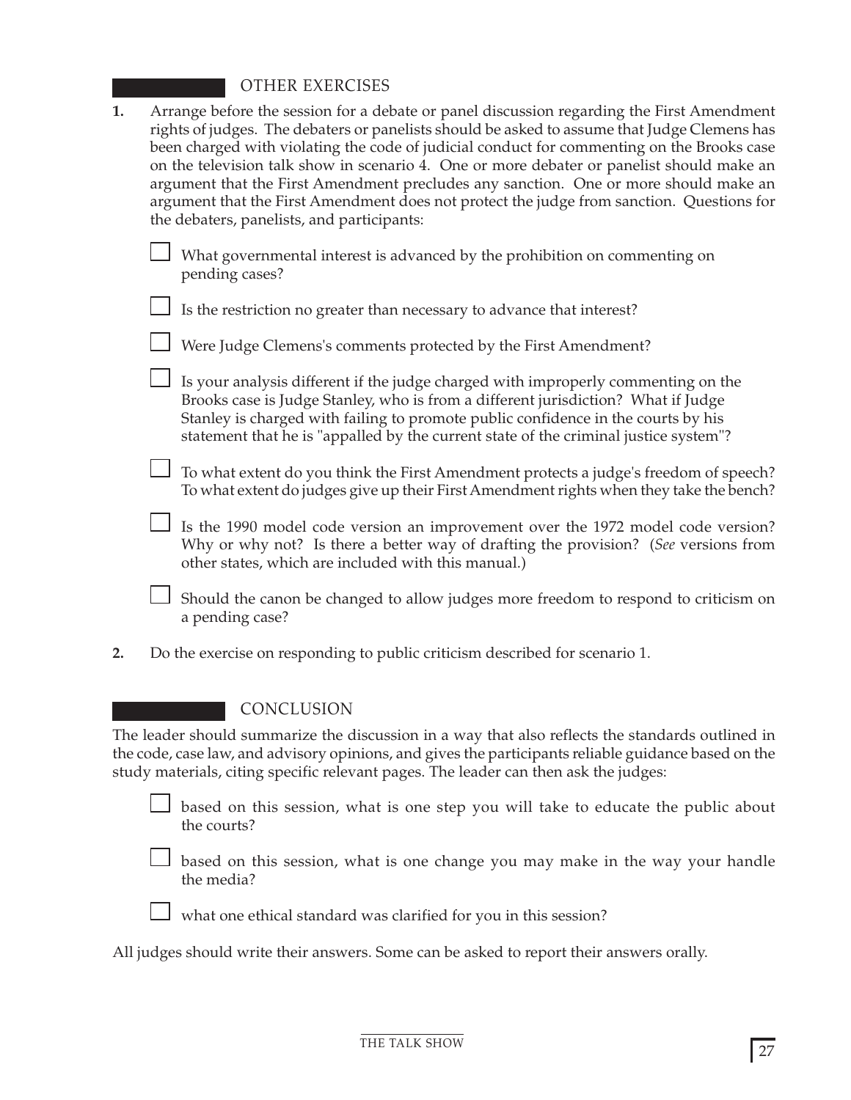# OTHER EXERCISES

| 1. | Arrange before the session for a debate or panel discussion regarding the First Amendment<br>rights of judges. The debaters or panelists should be asked to assume that Judge Clemens has<br>been charged with violating the code of judicial conduct for commenting on the Brooks case<br>on the television talk show in scenario 4. One or more debater or panelist should make an<br>argument that the First Amendment precludes any sanction. One or more should make an<br>argument that the First Amendment does not protect the judge from sanction. Questions for<br>the debaters, panelists, and participants: |                                                                                                                                                                                                                                                                                                                                                     |
|----|-------------------------------------------------------------------------------------------------------------------------------------------------------------------------------------------------------------------------------------------------------------------------------------------------------------------------------------------------------------------------------------------------------------------------------------------------------------------------------------------------------------------------------------------------------------------------------------------------------------------------|-----------------------------------------------------------------------------------------------------------------------------------------------------------------------------------------------------------------------------------------------------------------------------------------------------------------------------------------------------|
|    |                                                                                                                                                                                                                                                                                                                                                                                                                                                                                                                                                                                                                         | What governmental interest is advanced by the prohibition on commenting on<br>pending cases?                                                                                                                                                                                                                                                        |
|    |                                                                                                                                                                                                                                                                                                                                                                                                                                                                                                                                                                                                                         | Is the restriction no greater than necessary to advance that interest?                                                                                                                                                                                                                                                                              |
|    |                                                                                                                                                                                                                                                                                                                                                                                                                                                                                                                                                                                                                         | Were Judge Clemens's comments protected by the First Amendment?                                                                                                                                                                                                                                                                                     |
|    |                                                                                                                                                                                                                                                                                                                                                                                                                                                                                                                                                                                                                         | Is your analysis different if the judge charged with improperly commenting on the<br>Brooks case is Judge Stanley, who is from a different jurisdiction? What if Judge<br>Stanley is charged with failing to promote public confidence in the courts by his<br>statement that he is "appalled by the current state of the criminal justice system"? |
|    |                                                                                                                                                                                                                                                                                                                                                                                                                                                                                                                                                                                                                         | To what extent do you think the First Amendment protects a judge's freedom of speech?<br>To what extent do judges give up their First Amendment rights when they take the bench?                                                                                                                                                                    |
|    |                                                                                                                                                                                                                                                                                                                                                                                                                                                                                                                                                                                                                         | Is the 1990 model code version an improvement over the 1972 model code version?<br>Why or why not? Is there a better way of drafting the provision? (See versions from<br>other states, which are included with this manual.)                                                                                                                       |
|    |                                                                                                                                                                                                                                                                                                                                                                                                                                                                                                                                                                                                                         | Should the canon be changed to allow judges more freedom to respond to criticism on<br>a pending case?                                                                                                                                                                                                                                              |
| 2. |                                                                                                                                                                                                                                                                                                                                                                                                                                                                                                                                                                                                                         | Do the exercise on responding to public criticism described for scenario 1.                                                                                                                                                                                                                                                                         |
|    |                                                                                                                                                                                                                                                                                                                                                                                                                                                                                                                                                                                                                         | CONCLUSION                                                                                                                                                                                                                                                                                                                                          |
|    |                                                                                                                                                                                                                                                                                                                                                                                                                                                                                                                                                                                                                         | The leader should summarize the discussion in a way that also reflects the standards outlined in<br>the code, case law, and advisory opinions, and gives the participants reliable guidance based on the<br>study materials, citing specific relevant pages. The leader can then ask the judges:                                                    |
|    |                                                                                                                                                                                                                                                                                                                                                                                                                                                                                                                                                                                                                         | based on this session, what is one step you will take to educate the public about<br>the courts?                                                                                                                                                                                                                                                    |
|    |                                                                                                                                                                                                                                                                                                                                                                                                                                                                                                                                                                                                                         | based on this session, what is one change you may make in the way your handle<br>the media?                                                                                                                                                                                                                                                         |
|    |                                                                                                                                                                                                                                                                                                                                                                                                                                                                                                                                                                                                                         | what one ethical standard was clarified for you in this session?                                                                                                                                                                                                                                                                                    |

All judges should write their answers. Some can be asked to report their answers orally.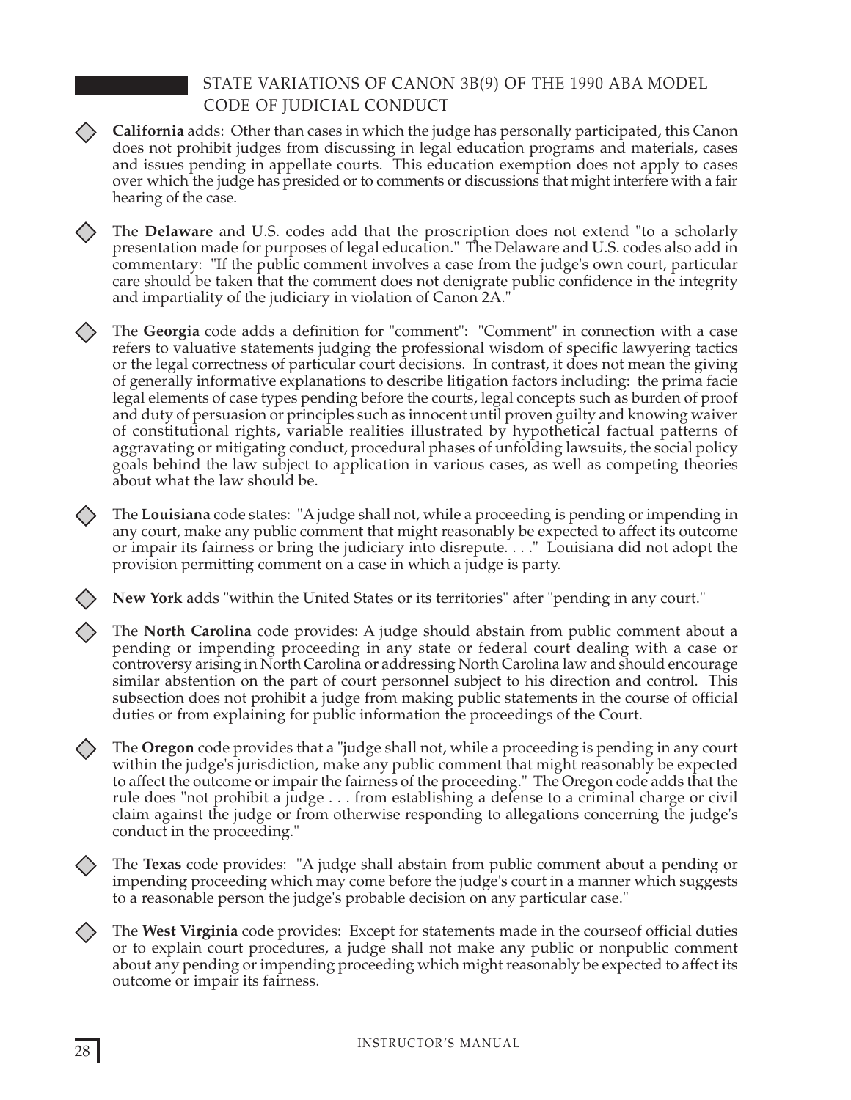# STATE VARIATIONS OF CANON 3B(9) OF THE 1990 ABA MODEL CODE OF JUDICIAL CONDUCT

- **California** adds: Other than cases in which the judge has personally participated, this Canon does not prohibit judges from discussing in legal education programs and materials, cases and issues pending in appellate courts. This education exemption does not apply to cases over which the judge has presided or to comments or discussions that might interfere with a fair hearing of the case.
- The **Delaware** and U.S. codes add that the proscription does not extend "to a scholarly 〈 〉 presentation made for purposes of legal education." The Delaware and U.S. codes also add in commentary: "If the public comment involves a case from the judge's own court, particular care should be taken that the comment does not denigrate public confidence in the integrity and impartiality of the judiciary in violation of Canon 2A."

The **Georgia** code adds a definition for "comment": "Comment" in connection with a case refers to valuative statements judging the professional wisdom of specific lawyering tactics or the legal correctness of particular court decisions. In contrast, it does not mean the giving of generally informative explanations to describe litigation factors including: the prima facie legal elements of case types pending before the courts, legal concepts such as burden of proof and duty of persuasion or principles such as innocent until proven guilty and knowing waiver of constitutional rights, variable realities illustrated by hypothetical factual patterns of aggravating or mitigating conduct, procedural phases of unfolding lawsuits, the social policy goals behind the law subject to application in various cases, as well as competing theories about what the law should be.

The **Louisiana** code states: "A judge shall not, while a proceeding is pending or impending in any court, make any public comment that might reasonably be expected to affect its outcome or impair its fairness or bring the judiciary into disrepute. . . ." Louisiana did not adopt the provision permitting comment on a case in which a judge is party.

**New York** adds "within the United States or its territories" after "pending in any court."

The **North Carolina** code provides: A judge should abstain from public comment about a pending or impending proceeding in any state or federal court dealing with a case or controversy arising in North Carolina or addressing North Carolina law and should encourage similar abstention on the part of court personnel subject to his direction and control. This subsection does not prohibit a judge from making public statements in the course of official duties or from explaining for public information the proceedings of the Court.

The **Oregon** code provides that a "judge shall not, while a proceeding is pending in any court within the judge's jurisdiction, make any public comment that might reasonably be expected to affect the outcome or impair the fairness of the proceeding." The Oregon code adds that the rule does "not prohibit a judge . . . from establishing a defense to a criminal charge or civil claim against the judge or from otherwise responding to allegations concerning the judge's conduct in the proceeding."

The **Texas** code provides: "A judge shall abstain from public comment about a pending or impending proceeding which may come before the judge's court in a manner which suggests to a reasonable person the judge's probable decision on any particular case."

The **West Virginia** code provides: Except for statements made in the courseof official duties  $\langle \ \rangle$ or to explain court procedures, a judge shall not make any public or nonpublic comment about any pending or impending proceeding which might reasonably be expected to affect its outcome or impair its fairness.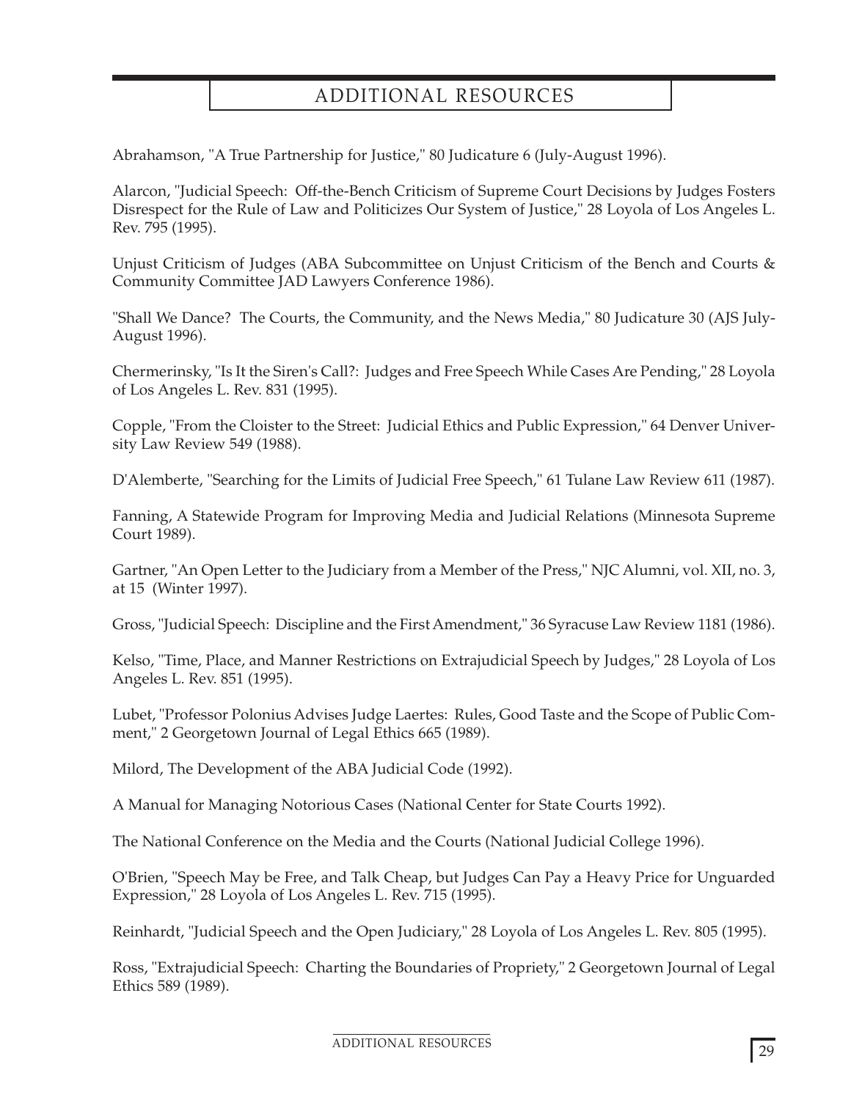# ADDITIONAL RESOURCES

Abrahamson, "A True Partnership for Justice," 80 Judicature 6 (July-August 1996).

Alarcon, "Judicial Speech: Off-the-Bench Criticism of Supreme Court Decisions by Judges Fosters Disrespect for the Rule of Law and Politicizes Our System of Justice," 28 Loyola of Los Angeles L. Rev. 795 (1995).

Unjust Criticism of Judges (ABA Subcommittee on Unjust Criticism of the Bench and Courts & Community Committee JAD Lawyers Conference 1986).

"Shall We Dance? The Courts, the Community, and the News Media," 80 Judicature 30 (AJS July-August 1996).

Chermerinsky, "Is It the Siren's Call?: Judges and Free Speech While Cases Are Pending," 28 Loyola of Los Angeles L. Rev. 831 (1995).

Copple, "From the Cloister to the Street: Judicial Ethics and Public Expression," 64 Denver University Law Review 549 (1988).

D'Alemberte, "Searching for the Limits of Judicial Free Speech," 61 Tulane Law Review 611 (1987).

Fanning, A Statewide Program for Improving Media and Judicial Relations (Minnesota Supreme Court 1989).

Gartner, "An Open Letter to the Judiciary from a Member of the Press," NJC Alumni, vol. XII, no. 3, at 15 (Winter 1997).

Gross, "Judicial Speech: Discipline and the First Amendment," 36 Syracuse Law Review 1181 (1986).

Kelso, "Time, Place, and Manner Restrictions on Extrajudicial Speech by Judges," 28 Loyola of Los Angeles L. Rev. 851 (1995).

Lubet, "Professor Polonius Advises Judge Laertes: Rules, Good Taste and the Scope of Public Comment," 2 Georgetown Journal of Legal Ethics 665 (1989).

Milord, The Development of the ABA Judicial Code (1992).

A Manual for Managing Notorious Cases (National Center for State Courts 1992).

The National Conference on the Media and the Courts (National Judicial College 1996).

O'Brien, "Speech May be Free, and Talk Cheap, but Judges Can Pay a Heavy Price for Unguarded Expression," 28 Loyola of Los Angeles L. Rev. 715 (1995).

Reinhardt, "Judicial Speech and the Open Judiciary," 28 Loyola of Los Angeles L. Rev. 805 (1995).

Ross, "Extrajudicial Speech: Charting the Boundaries of Propriety," 2 Georgetown Journal of Legal Ethics 589 (1989).